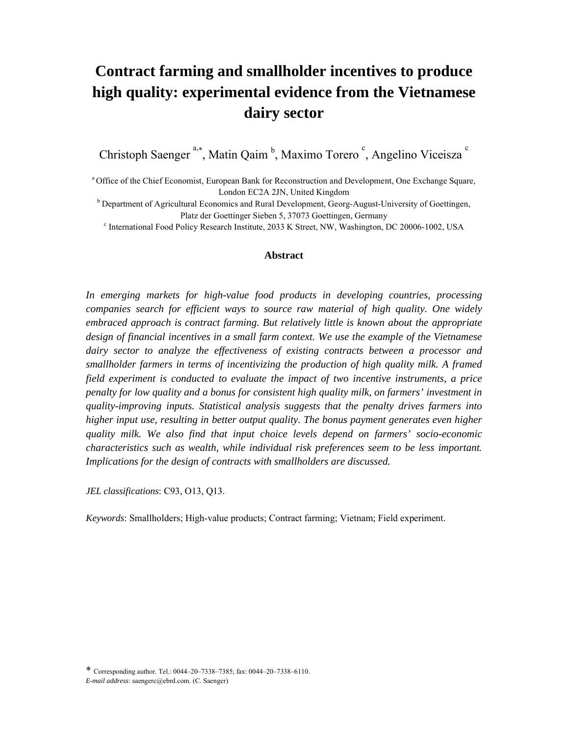# **Contract farming and smallholder incentives to produce high quality: experimental evidence from the Vietnamese dairy sector**

Christoph Saenger<sup>a,\*</sup>, Matin Qaim<sup>b</sup>, Maximo Torero<sup>c</sup>, Angelino Viceisza<sup>c</sup>

a Office of the Chief Economist, European Bank for Reconstruction and Development, One Exchange Square, London EC2A 2JN, United Kingdom

<sup>b</sup> Department of Agricultural Economics and Rural Development, Georg-August-University of Goettingen, Platz der Goettinger Sieben 5, 37073 Goettingen, Germany

<sup>c</sup> International Food Policy Research Institute, 2033 K Street, NW, Washington, DC 20006-1002, USA

#### **Abstract**

*In emerging markets for high-value food products in developing countries, processing companies search for efficient ways to source raw material of high quality. One widely embraced approach is contract farming. But relatively little is known about the appropriate design of financial incentives in a small farm context. We use the example of the Vietnamese dairy sector to analyze the effectiveness of existing contracts between a processor and smallholder farmers in terms of incentivizing the production of high quality milk. A framed field experiment is conducted to evaluate the impact of two incentive instruments, a price penalty for low quality and a bonus for consistent high quality milk, on farmers' investment in quality-improving inputs. Statistical analysis suggests that the penalty drives farmers into higher input use, resulting in better output quality. The bonus payment generates even higher quality milk. We also find that input choice levels depend on farmers' socio-economic characteristics such as wealth, while individual risk preferences seem to be less important. Implications for the design of contracts with smallholders are discussed.*

*JEL classifications*: C93, O13, Q13.

*Keywords*: Smallholders; High-value products; Contract farming; Vietnam; Field experiment.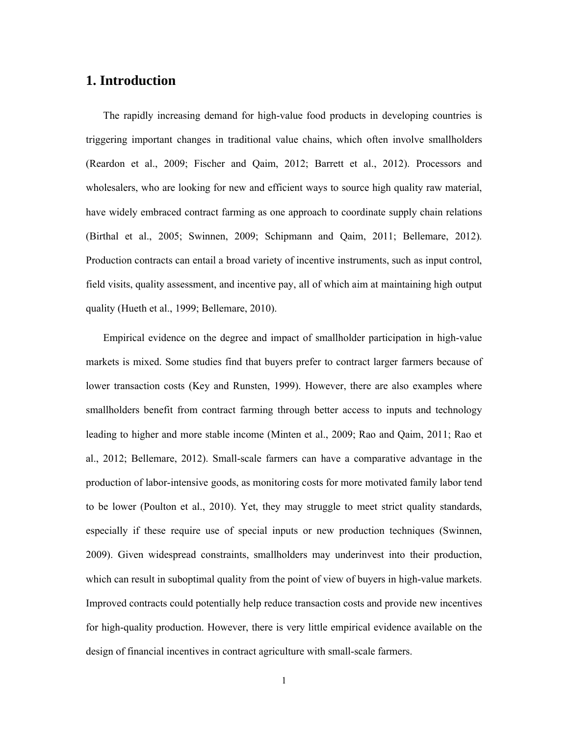### **1. Introduction**

The rapidly increasing demand for high-value food products in developing countries is triggering important changes in traditional value chains, which often involve smallholders (Reardon et al., 2009; Fischer and Qaim, 2012; Barrett et al., 2012). Processors and wholesalers, who are looking for new and efficient ways to source high quality raw material, have widely embraced contract farming as one approach to coordinate supply chain relations (Birthal et al., 2005; Swinnen, 2009; Schipmann and Qaim, 2011; Bellemare, 2012). Production contracts can entail a broad variety of incentive instruments, such as input control, field visits, quality assessment, and incentive pay, all of which aim at maintaining high output quality (Hueth et al., 1999; Bellemare, 2010).

Empirical evidence on the degree and impact of smallholder participation in high-value markets is mixed. Some studies find that buyers prefer to contract larger farmers because of lower transaction costs (Key and Runsten, 1999). However, there are also examples where smallholders benefit from contract farming through better access to inputs and technology leading to higher and more stable income (Minten et al., 2009; Rao and Qaim, 2011; Rao et al., 2012; Bellemare, 2012). Small-scale farmers can have a comparative advantage in the production of labor-intensive goods, as monitoring costs for more motivated family labor tend to be lower (Poulton et al., 2010). Yet, they may struggle to meet strict quality standards, especially if these require use of special inputs or new production techniques (Swinnen, 2009). Given widespread constraints, smallholders may underinvest into their production, which can result in suboptimal quality from the point of view of buyers in high-value markets. Improved contracts could potentially help reduce transaction costs and provide new incentives for high-quality production. However, there is very little empirical evidence available on the design of financial incentives in contract agriculture with small-scale farmers.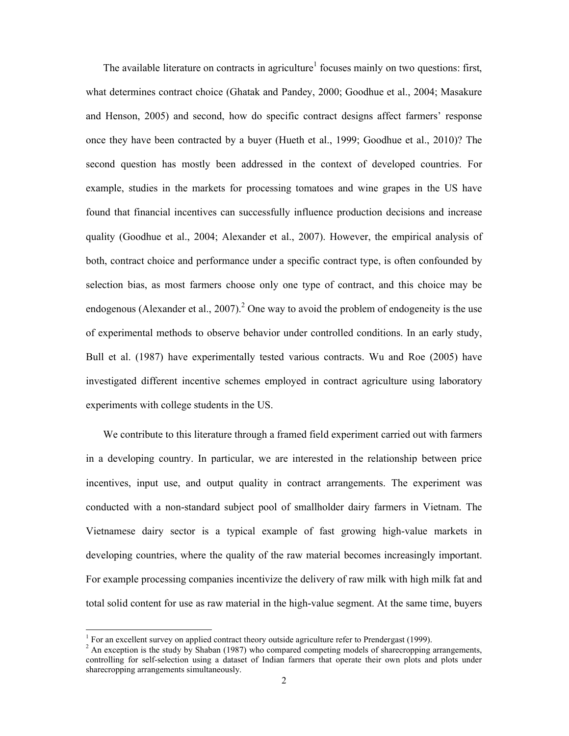The available literature on contracts in agriculture<sup>1</sup> focuses mainly on two questions: first, what determines contract choice (Ghatak and Pandey, 2000; Goodhue et al., 2004; Masakure and Henson, 2005) and second, how do specific contract designs affect farmers' response once they have been contracted by a buyer (Hueth et al., 1999; Goodhue et al., 2010)? The second question has mostly been addressed in the context of developed countries. For example, studies in the markets for processing tomatoes and wine grapes in the US have found that financial incentives can successfully influence production decisions and increase quality (Goodhue et al., 2004; Alexander et al., 2007). However, the empirical analysis of both, contract choice and performance under a specific contract type, is often confounded by selection bias, as most farmers choose only one type of contract, and this choice may be endogenous (Alexander et al., 2007).<sup>2</sup> One way to avoid the problem of endogeneity is the use of experimental methods to observe behavior under controlled conditions. In an early study, Bull et al. (1987) have experimentally tested various contracts. Wu and Roe (2005) have investigated different incentive schemes employed in contract agriculture using laboratory experiments with college students in the US.

We contribute to this literature through a framed field experiment carried out with farmers in a developing country. In particular, we are interested in the relationship between price incentives, input use, and output quality in contract arrangements. The experiment was conducted with a non-standard subject pool of smallholder dairy farmers in Vietnam. The Vietnamese dairy sector is a typical example of fast growing high-value markets in developing countries, where the quality of the raw material becomes increasingly important. For example processing companies incentivize the delivery of raw milk with high milk fat and total solid content for use as raw material in the high-value segment. At the same time, buyers

l,

 $1$  For an excellent survey on applied contract theory outside agriculture refer to Prendergast (1999).

 $2 \text{ An exception is the study by Shaban (1987) who compared competing models of sharecropping arrangements, }$ controlling for self-selection using a dataset of Indian farmers that operate their own plots and plots under sharecropping arrangements simultaneously.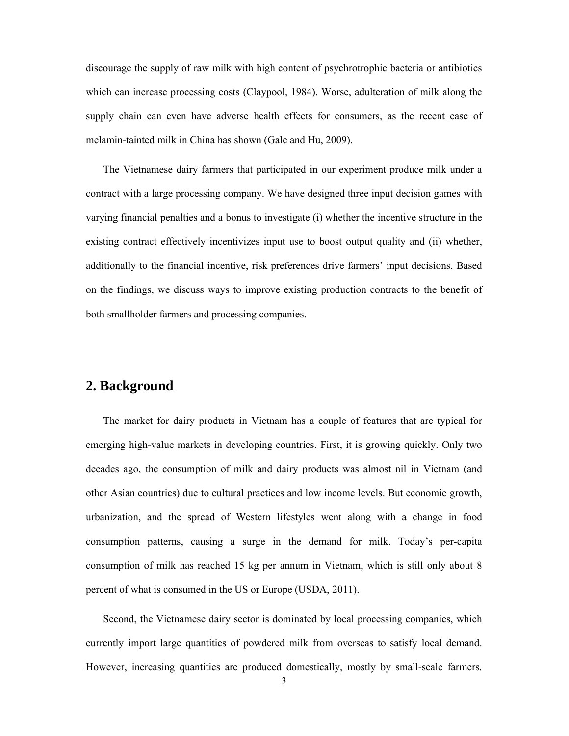discourage the supply of raw milk with high content of psychrotrophic bacteria or antibiotics which can increase processing costs (Claypool, 1984). Worse, adulteration of milk along the supply chain can even have adverse health effects for consumers, as the recent case of melamin-tainted milk in China has shown (Gale and Hu, 2009).

The Vietnamese dairy farmers that participated in our experiment produce milk under a contract with a large processing company. We have designed three input decision games with varying financial penalties and a bonus to investigate (i) whether the incentive structure in the existing contract effectively incentivizes input use to boost output quality and (ii) whether, additionally to the financial incentive, risk preferences drive farmers' input decisions. Based on the findings, we discuss ways to improve existing production contracts to the benefit of both smallholder farmers and processing companies.

### **2. Background**

The market for dairy products in Vietnam has a couple of features that are typical for emerging high-value markets in developing countries. First, it is growing quickly. Only two decades ago, the consumption of milk and dairy products was almost nil in Vietnam (and other Asian countries) due to cultural practices and low income levels. But economic growth, urbanization, and the spread of Western lifestyles went along with a change in food consumption patterns, causing a surge in the demand for milk. Today's per-capita consumption of milk has reached 15 kg per annum in Vietnam, which is still only about 8 percent of what is consumed in the US or Europe (USDA, 2011).

Second, the Vietnamese dairy sector is dominated by local processing companies, which currently import large quantities of powdered milk from overseas to satisfy local demand. However, increasing quantities are produced domestically, mostly by small-scale farmers.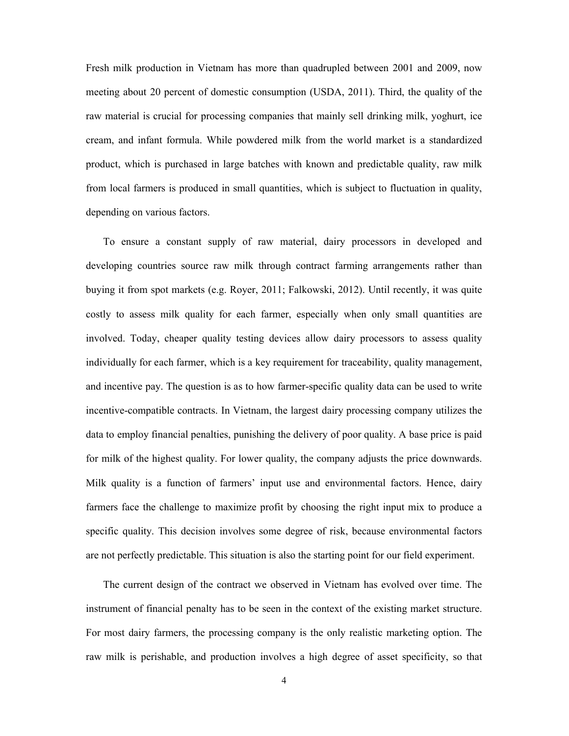Fresh milk production in Vietnam has more than quadrupled between 2001 and 2009, now meeting about 20 percent of domestic consumption (USDA, 2011). Third, the quality of the raw material is crucial for processing companies that mainly sell drinking milk, yoghurt, ice cream, and infant formula. While powdered milk from the world market is a standardized product, which is purchased in large batches with known and predictable quality, raw milk from local farmers is produced in small quantities, which is subject to fluctuation in quality, depending on various factors.

To ensure a constant supply of raw material, dairy processors in developed and developing countries source raw milk through contract farming arrangements rather than buying it from spot markets (e.g. Royer, 2011; Falkowski, 2012). Until recently, it was quite costly to assess milk quality for each farmer, especially when only small quantities are involved. Today, cheaper quality testing devices allow dairy processors to assess quality individually for each farmer, which is a key requirement for traceability, quality management, and incentive pay. The question is as to how farmer-specific quality data can be used to write incentive-compatible contracts. In Vietnam, the largest dairy processing company utilizes the data to employ financial penalties, punishing the delivery of poor quality. A base price is paid for milk of the highest quality. For lower quality, the company adjusts the price downwards. Milk quality is a function of farmers' input use and environmental factors. Hence, dairy farmers face the challenge to maximize profit by choosing the right input mix to produce a specific quality. This decision involves some degree of risk, because environmental factors are not perfectly predictable. This situation is also the starting point for our field experiment.

The current design of the contract we observed in Vietnam has evolved over time. The instrument of financial penalty has to be seen in the context of the existing market structure. For most dairy farmers, the processing company is the only realistic marketing option. The raw milk is perishable, and production involves a high degree of asset specificity, so that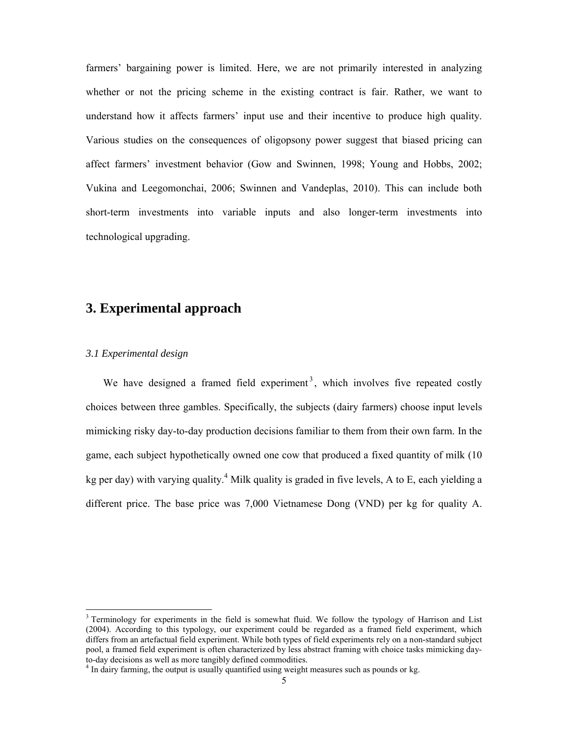farmers' bargaining power is limited. Here, we are not primarily interested in analyzing whether or not the pricing scheme in the existing contract is fair. Rather, we want to understand how it affects farmers' input use and their incentive to produce high quality. Various studies on the consequences of oligopsony power suggest that biased pricing can affect farmers' investment behavior (Gow and Swinnen, 1998; Young and Hobbs, 2002; Vukina and Leegomonchai, 2006; Swinnen and Vandeplas, 2010). This can include both short-term investments into variable inputs and also longer-term investments into technological upgrading.

### **3. Experimental approach**

#### *3.1 Experimental design*

1

We have designed a framed field experiment<sup>3</sup>, which involves five repeated costly choices between three gambles. Specifically, the subjects (dairy farmers) choose input levels mimicking risky day-to-day production decisions familiar to them from their own farm. In the game, each subject hypothetically owned one cow that produced a fixed quantity of milk (10 kg per day) with varying quality.<sup>4</sup> Milk quality is graded in five levels, A to E, each yielding a different price. The base price was 7,000 Vietnamese Dong (VND) per kg for quality A.

<sup>&</sup>lt;sup>3</sup> Terminology for experiments in the field is somewhat fluid. We follow the typology of Harrison and List (2004). According to this typology, our experiment could be regarded as a framed field experiment, which differs from an artefactual field experiment. While both types of field experiments rely on a non-standard subject pool, a framed field experiment is often characterized by less abstract framing with choice tasks mimicking dayto-day decisions as well as more tangibly defined commodities.

<sup>&</sup>lt;sup>4</sup> In dairy farming, the output is usually quantified using weight measures such as pounds or kg.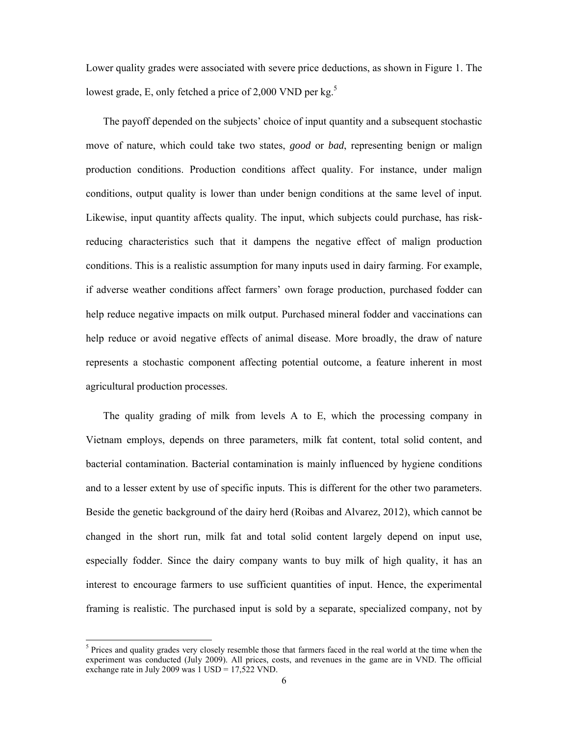Lower quality grades were associated with severe price deductions, as shown in Figure 1. The lowest grade, E, only fetched a price of 2,000 VND per kg.<sup>5</sup>

The payoff depended on the subjects' choice of input quantity and a subsequent stochastic move of nature, which could take two states, *good* or *bad*, representing benign or malign production conditions. Production conditions affect quality. For instance, under malign conditions, output quality is lower than under benign conditions at the same level of input. Likewise, input quantity affects quality. The input, which subjects could purchase, has riskreducing characteristics such that it dampens the negative effect of malign production conditions. This is a realistic assumption for many inputs used in dairy farming. For example, if adverse weather conditions affect farmers' own forage production, purchased fodder can help reduce negative impacts on milk output. Purchased mineral fodder and vaccinations can help reduce or avoid negative effects of animal disease. More broadly, the draw of nature represents a stochastic component affecting potential outcome, a feature inherent in most agricultural production processes.

The quality grading of milk from levels A to E, which the processing company in Vietnam employs, depends on three parameters, milk fat content, total solid content, and bacterial contamination. Bacterial contamination is mainly influenced by hygiene conditions and to a lesser extent by use of specific inputs. This is different for the other two parameters. Beside the genetic background of the dairy herd (Roibas and Alvarez, 2012), which cannot be changed in the short run, milk fat and total solid content largely depend on input use, especially fodder. Since the dairy company wants to buy milk of high quality, it has an interest to encourage farmers to use sufficient quantities of input. Hence, the experimental framing is realistic. The purchased input is sold by a separate, specialized company, not by

 $\overline{a}$ 

<sup>&</sup>lt;sup>5</sup> Prices and quality grades very closely resemble those that farmers faced in the real world at the time when the experiment was conducted (July 2009). All prices, costs, and revenues in the game are in VND. The official exchange rate in July 2009 was  $1$  USD = 17,522 VND.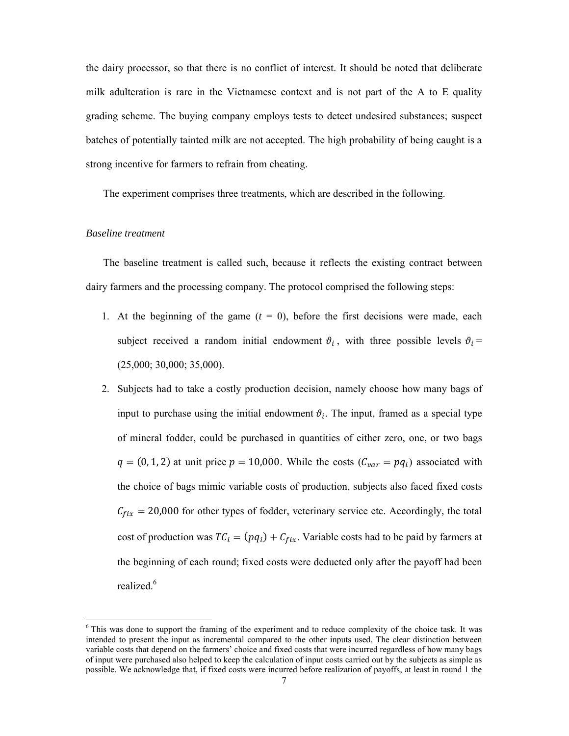the dairy processor, so that there is no conflict of interest. It should be noted that deliberate milk adulteration is rare in the Vietnamese context and is not part of the A to E quality grading scheme. The buying company employs tests to detect undesired substances; suspect batches of potentially tainted milk are not accepted. The high probability of being caught is a strong incentive for farmers to refrain from cheating.

The experiment comprises three treatments, which are described in the following.

#### *Baseline treatment*

1

The baseline treatment is called such, because it reflects the existing contract between dairy farmers and the processing company. The protocol comprised the following steps:

- 1. At the beginning of the game  $(t = 0)$ , before the first decisions were made, each subject received a random initial endowment  $\vartheta_i$ , with three possible levels  $\vartheta_i =$ (25,000; 30,000; 35,000).
- 2. Subjects had to take a costly production decision, namely choose how many bags of input to purchase using the initial endowment  $\vartheta_i$ . The input, framed as a special type of mineral fodder, could be purchased in quantities of either zero, one, or two bags  $q = (0, 1, 2)$  at unit price  $p = 10,000$ . While the costs  $(C_{var} = pq_i)$  associated with the choice of bags mimic variable costs of production, subjects also faced fixed costs  $C_{fix} = 20,000$  for other types of fodder, veterinary service etc. Accordingly, the total cost of production was  $TC_i = (pq_i) + C_{fix}$ . Variable costs had to be paid by farmers at the beginning of each round; fixed costs were deducted only after the payoff had been realized.<sup>6</sup>

<sup>6</sup> This was done to support the framing of the experiment and to reduce complexity of the choice task. It was intended to present the input as incremental compared to the other inputs used. The clear distinction between variable costs that depend on the farmers' choice and fixed costs that were incurred regardless of how many bags of input were purchased also helped to keep the calculation of input costs carried out by the subjects as simple as possible. We acknowledge that, if fixed costs were incurred before realization of payoffs, at least in round 1 the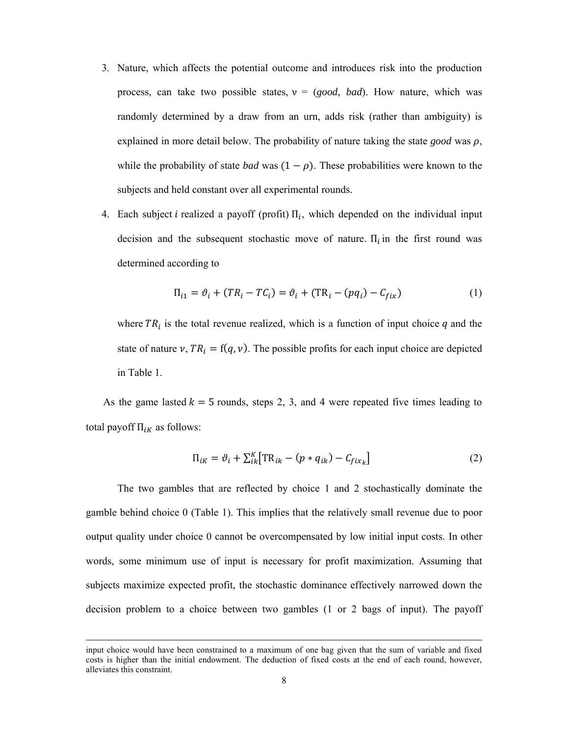- 3. Nature, which affects the potential outcome and introduces risk into the production process, can take two possible states, ν = (*good*, *bad*). How nature, which was randomly determined by a draw from an urn, adds risk (rather than ambiguity) is explained in more detail below. The probability of nature taking the state *good* was  $\rho$ , while the probability of state *bad* was  $(1 - \rho)$ . These probabilities were known to the subjects and held constant over all experimental rounds.
- 4. Each subject *i* realized a payoff (profit)  $\Pi_i$ , which depended on the individual input decision and the subsequent stochastic move of nature.  $\Pi_i$  in the first round was determined according to

$$
\Pi_{i1} = \vartheta_i + (TR_i - TC_i) = \vartheta_i + (TR_i - (pq_i) - C_{fix})
$$
\n<sup>(1)</sup>

where  $TR_i$  is the total revenue realized, which is a function of input choice  $q$  and the state of nature  $v$ ,  $TR_i = f(q, v)$ . The possible profits for each input choice are depicted in Table 1.

As the game lasted  $k = 5$  rounds, steps 2, 3, and 4 were repeated five times leading to total payoff  $\Pi_{iK}$  as follows:

$$
\Pi_{iK} = \vartheta_i + \sum_{ik}^{K} [\text{TR}_{ik} - (p * q_{ik}) - C_{fix_k}] \tag{2}
$$

The two gambles that are reflected by choice 1 and 2 stochastically dominate the gamble behind choice 0 (Table 1). This implies that the relatively small revenue due to poor output quality under choice 0 cannot be overcompensated by low initial input costs. In other words, some minimum use of input is necessary for profit maximization. Assuming that subjects maximize expected profit, the stochastic dominance effectively narrowed down the decision problem to a choice between two gambles (1 or 2 bags of input). The payoff

 $\overline{a}$ 

input choice would have been constrained to a maximum of one bag given that the sum of variable and fixed costs is higher than the initial endowment. The deduction of fixed costs at the end of each round, however, alleviates this constraint.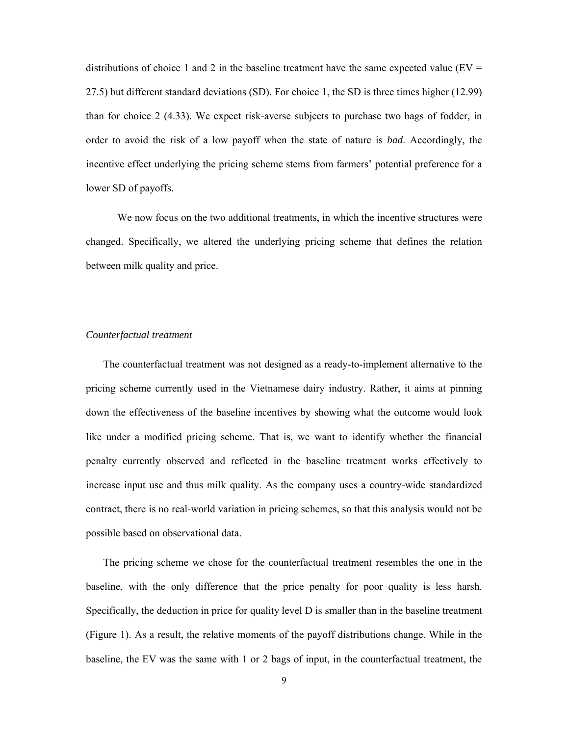distributions of choice 1 and 2 in the baseline treatment have the same expected value ( $EV =$ 27.5) but different standard deviations (SD). For choice 1, the SD is three times higher (12.99) than for choice 2 (4.33). We expect risk-averse subjects to purchase two bags of fodder, in order to avoid the risk of a low payoff when the state of nature is *bad*. Accordingly, the incentive effect underlying the pricing scheme stems from farmers' potential preference for a lower SD of payoffs.

We now focus on the two additional treatments, in which the incentive structures were changed. Specifically, we altered the underlying pricing scheme that defines the relation between milk quality and price.

#### *Counterfactual treatment*

The counterfactual treatment was not designed as a ready-to-implement alternative to the pricing scheme currently used in the Vietnamese dairy industry. Rather, it aims at pinning down the effectiveness of the baseline incentives by showing what the outcome would look like under a modified pricing scheme. That is, we want to identify whether the financial penalty currently observed and reflected in the baseline treatment works effectively to increase input use and thus milk quality. As the company uses a country-wide standardized contract, there is no real-world variation in pricing schemes, so that this analysis would not be possible based on observational data.

The pricing scheme we chose for the counterfactual treatment resembles the one in the baseline, with the only difference that the price penalty for poor quality is less harsh. Specifically, the deduction in price for quality level D is smaller than in the baseline treatment (Figure 1). As a result, the relative moments of the payoff distributions change. While in the baseline, the EV was the same with 1 or 2 bags of input, in the counterfactual treatment, the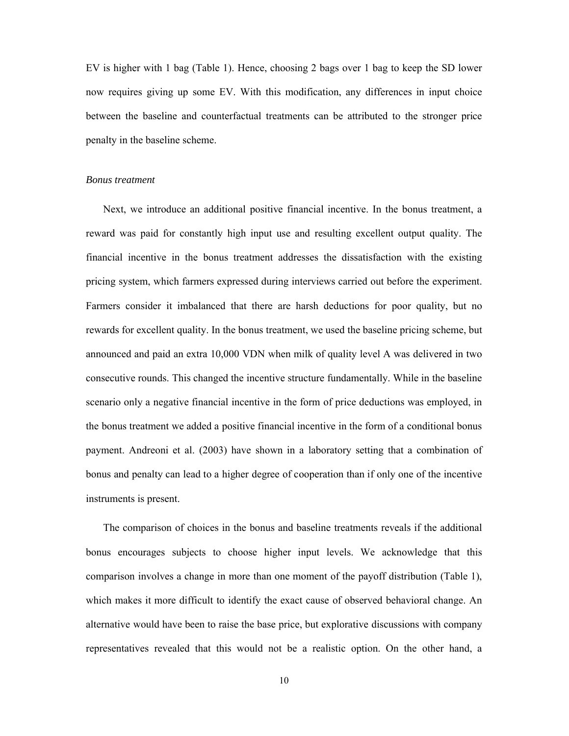EV is higher with 1 bag (Table 1). Hence, choosing 2 bags over 1 bag to keep the SD lower now requires giving up some EV. With this modification, any differences in input choice between the baseline and counterfactual treatments can be attributed to the stronger price penalty in the baseline scheme.

#### *Bonus treatment*

Next, we introduce an additional positive financial incentive. In the bonus treatment, a reward was paid for constantly high input use and resulting excellent output quality. The financial incentive in the bonus treatment addresses the dissatisfaction with the existing pricing system, which farmers expressed during interviews carried out before the experiment. Farmers consider it imbalanced that there are harsh deductions for poor quality, but no rewards for excellent quality. In the bonus treatment, we used the baseline pricing scheme, but announced and paid an extra 10,000 VDN when milk of quality level A was delivered in two consecutive rounds. This changed the incentive structure fundamentally. While in the baseline scenario only a negative financial incentive in the form of price deductions was employed, in the bonus treatment we added a positive financial incentive in the form of a conditional bonus payment. Andreoni et al. (2003) have shown in a laboratory setting that a combination of bonus and penalty can lead to a higher degree of cooperation than if only one of the incentive instruments is present.

The comparison of choices in the bonus and baseline treatments reveals if the additional bonus encourages subjects to choose higher input levels. We acknowledge that this comparison involves a change in more than one moment of the payoff distribution (Table 1), which makes it more difficult to identify the exact cause of observed behavioral change. An alternative would have been to raise the base price, but explorative discussions with company representatives revealed that this would not be a realistic option. On the other hand, a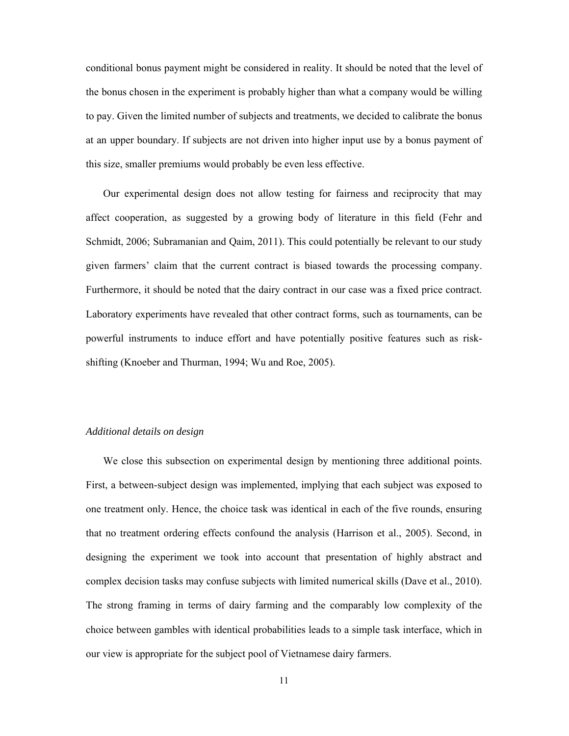conditional bonus payment might be considered in reality. It should be noted that the level of the bonus chosen in the experiment is probably higher than what a company would be willing to pay. Given the limited number of subjects and treatments, we decided to calibrate the bonus at an upper boundary. If subjects are not driven into higher input use by a bonus payment of this size, smaller premiums would probably be even less effective.

Our experimental design does not allow testing for fairness and reciprocity that may affect cooperation, as suggested by a growing body of literature in this field (Fehr and Schmidt, 2006; Subramanian and Qaim, 2011). This could potentially be relevant to our study given farmers' claim that the current contract is biased towards the processing company. Furthermore, it should be noted that the dairy contract in our case was a fixed price contract. Laboratory experiments have revealed that other contract forms, such as tournaments, can be powerful instruments to induce effort and have potentially positive features such as riskshifting (Knoeber and Thurman, 1994; Wu and Roe, 2005).

#### *Additional details on design*

We close this subsection on experimental design by mentioning three additional points. First, a between-subject design was implemented, implying that each subject was exposed to one treatment only. Hence, the choice task was identical in each of the five rounds, ensuring that no treatment ordering effects confound the analysis (Harrison et al., 2005). Second, in designing the experiment we took into account that presentation of highly abstract and complex decision tasks may confuse subjects with limited numerical skills (Dave et al., 2010). The strong framing in terms of dairy farming and the comparably low complexity of the choice between gambles with identical probabilities leads to a simple task interface, which in our view is appropriate for the subject pool of Vietnamese dairy farmers.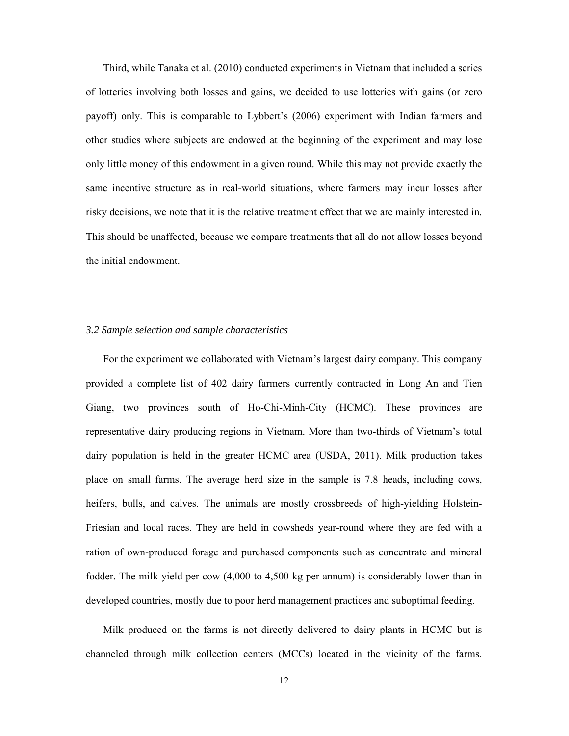Third, while Tanaka et al. (2010) conducted experiments in Vietnam that included a series of lotteries involving both losses and gains, we decided to use lotteries with gains (or zero payoff) only. This is comparable to Lybbert's (2006) experiment with Indian farmers and other studies where subjects are endowed at the beginning of the experiment and may lose only little money of this endowment in a given round. While this may not provide exactly the same incentive structure as in real-world situations, where farmers may incur losses after risky decisions, we note that it is the relative treatment effect that we are mainly interested in. This should be unaffected, because we compare treatments that all do not allow losses beyond the initial endowment.

#### *3.2 Sample selection and sample characteristics*

For the experiment we collaborated with Vietnam's largest dairy company. This company provided a complete list of 402 dairy farmers currently contracted in Long An and Tien Giang, two provinces south of Ho-Chi-Minh-City (HCMC). These provinces are representative dairy producing regions in Vietnam. More than two-thirds of Vietnam's total dairy population is held in the greater HCMC area (USDA, 2011). Milk production takes place on small farms. The average herd size in the sample is 7.8 heads, including cows, heifers, bulls, and calves. The animals are mostly crossbreeds of high-yielding Holstein-Friesian and local races. They are held in cowsheds year-round where they are fed with a ration of own-produced forage and purchased components such as concentrate and mineral fodder. The milk yield per cow (4,000 to 4,500 kg per annum) is considerably lower than in developed countries, mostly due to poor herd management practices and suboptimal feeding.

Milk produced on the farms is not directly delivered to dairy plants in HCMC but is channeled through milk collection centers (MCCs) located in the vicinity of the farms.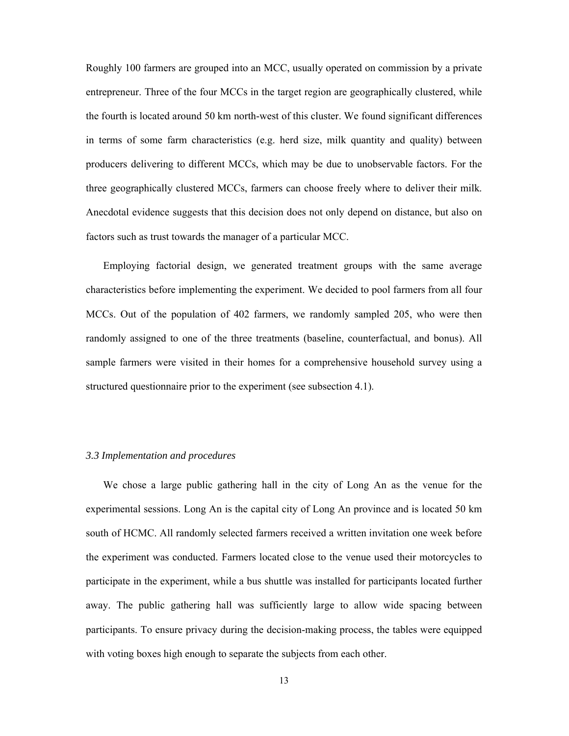Roughly 100 farmers are grouped into an MCC, usually operated on commission by a private entrepreneur. Three of the four MCCs in the target region are geographically clustered, while the fourth is located around 50 km north-west of this cluster. We found significant differences in terms of some farm characteristics (e.g. herd size, milk quantity and quality) between producers delivering to different MCCs, which may be due to unobservable factors. For the three geographically clustered MCCs, farmers can choose freely where to deliver their milk. Anecdotal evidence suggests that this decision does not only depend on distance, but also on factors such as trust towards the manager of a particular MCC.

Employing factorial design, we generated treatment groups with the same average characteristics before implementing the experiment. We decided to pool farmers from all four MCCs. Out of the population of 402 farmers, we randomly sampled 205, who were then randomly assigned to one of the three treatments (baseline, counterfactual, and bonus). All sample farmers were visited in their homes for a comprehensive household survey using a structured questionnaire prior to the experiment (see subsection 4.1).

#### *3.3 Implementation and procedures*

We chose a large public gathering hall in the city of Long An as the venue for the experimental sessions. Long An is the capital city of Long An province and is located 50 km south of HCMC. All randomly selected farmers received a written invitation one week before the experiment was conducted. Farmers located close to the venue used their motorcycles to participate in the experiment, while a bus shuttle was installed for participants located further away. The public gathering hall was sufficiently large to allow wide spacing between participants. To ensure privacy during the decision-making process, the tables were equipped with voting boxes high enough to separate the subjects from each other.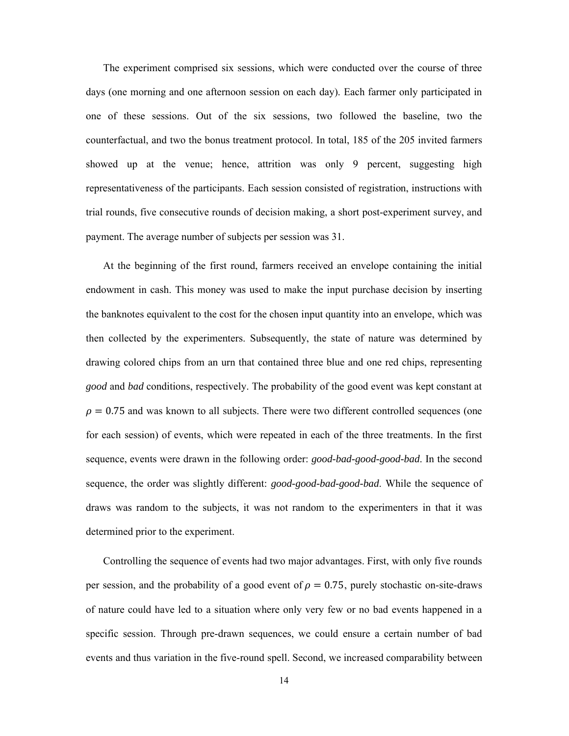The experiment comprised six sessions, which were conducted over the course of three days (one morning and one afternoon session on each day). Each farmer only participated in one of these sessions. Out of the six sessions, two followed the baseline, two the counterfactual, and two the bonus treatment protocol. In total, 185 of the 205 invited farmers showed up at the venue; hence, attrition was only 9 percent, suggesting high representativeness of the participants. Each session consisted of registration, instructions with trial rounds, five consecutive rounds of decision making, a short post-experiment survey, and payment. The average number of subjects per session was 31.

At the beginning of the first round, farmers received an envelope containing the initial endowment in cash. This money was used to make the input purchase decision by inserting the banknotes equivalent to the cost for the chosen input quantity into an envelope, which was then collected by the experimenters. Subsequently, the state of nature was determined by drawing colored chips from an urn that contained three blue and one red chips, representing *good* and *bad* conditions, respectively. The probability of the good event was kept constant at  $\rho = 0.75$  and was known to all subjects. There were two different controlled sequences (one for each session) of events, which were repeated in each of the three treatments. In the first sequence, events were drawn in the following order: *good-bad-good-good-bad*. In the second sequence, the order was slightly different: *good-good-bad-good-bad*. While the sequence of draws was random to the subjects, it was not random to the experimenters in that it was determined prior to the experiment.

Controlling the sequence of events had two major advantages. First, with only five rounds per session, and the probability of a good event of  $\rho = 0.75$ , purely stochastic on-site-draws of nature could have led to a situation where only very few or no bad events happened in a specific session. Through pre-drawn sequences, we could ensure a certain number of bad events and thus variation in the five-round spell. Second, we increased comparability between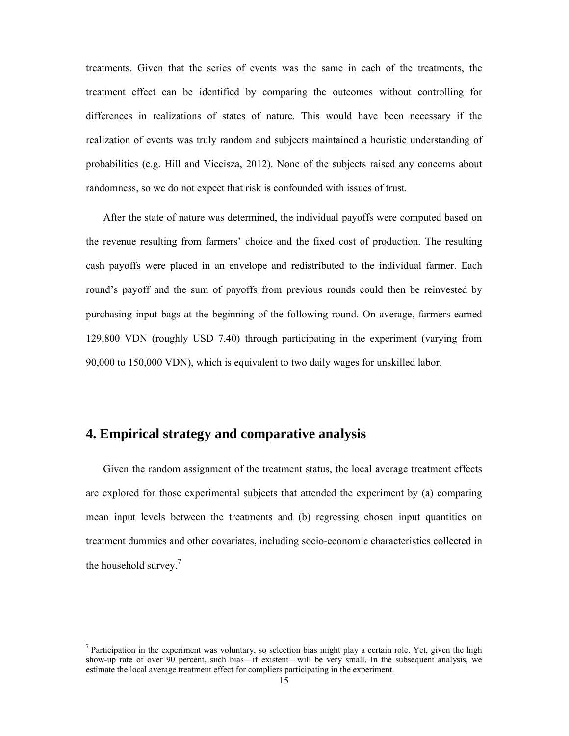treatments. Given that the series of events was the same in each of the treatments, the treatment effect can be identified by comparing the outcomes without controlling for differences in realizations of states of nature. This would have been necessary if the realization of events was truly random and subjects maintained a heuristic understanding of probabilities (e.g. Hill and Viceisza, 2012). None of the subjects raised any concerns about randomness, so we do not expect that risk is confounded with issues of trust.

After the state of nature was determined, the individual payoffs were computed based on the revenue resulting from farmers' choice and the fixed cost of production. The resulting cash payoffs were placed in an envelope and redistributed to the individual farmer. Each round's payoff and the sum of payoffs from previous rounds could then be reinvested by purchasing input bags at the beginning of the following round. On average, farmers earned 129,800 VDN (roughly USD 7.40) through participating in the experiment (varying from 90,000 to 150,000 VDN), which is equivalent to two daily wages for unskilled labor.

### **4. Empirical strategy and comparative analysis**

 $\overline{a}$ 

Given the random assignment of the treatment status, the local average treatment effects are explored for those experimental subjects that attended the experiment by (a) comparing mean input levels between the treatments and (b) regressing chosen input quantities on treatment dummies and other covariates, including socio-economic characteristics collected in the household survey.<sup>7</sup>

 $<sup>7</sup>$  Participation in the experiment was voluntary, so selection bias might play a certain role. Yet, given the high</sup> show-up rate of over 90 percent, such bias—if existent—will be very small. In the subsequent analysis, we estimate the local average treatment effect for compliers participating in the experiment.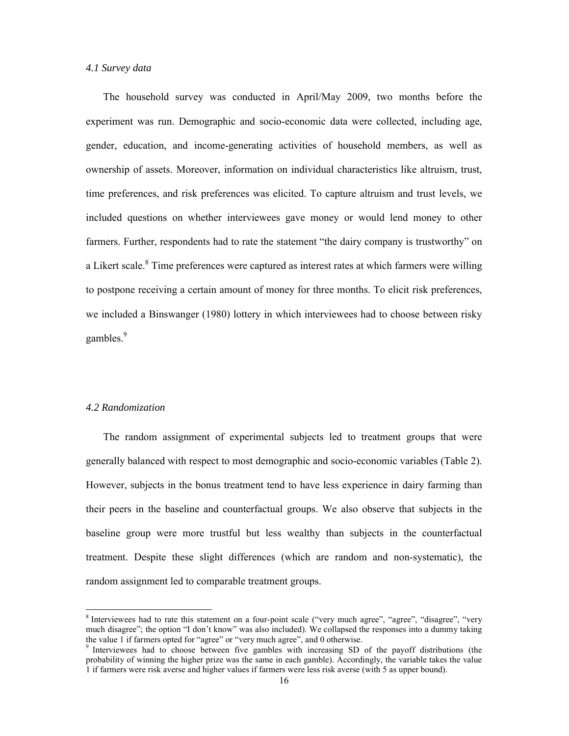#### *4.1 Survey data*

The household survey was conducted in April/May 2009, two months before the experiment was run. Demographic and socio-economic data were collected, including age, gender, education, and income-generating activities of household members, as well as ownership of assets. Moreover, information on individual characteristics like altruism, trust, time preferences, and risk preferences was elicited. To capture altruism and trust levels, we included questions on whether interviewees gave money or would lend money to other farmers. Further, respondents had to rate the statement "the dairy company is trustworthy" on a Likert scale.<sup>8</sup> Time preferences were captured as interest rates at which farmers were willing to postpone receiving a certain amount of money for three months. To elicit risk preferences, we included a Binswanger (1980) lottery in which interviewees had to choose between risky gambles.<sup>9</sup>

#### *4.2 Randomization*

1

The random assignment of experimental subjects led to treatment groups that were generally balanced with respect to most demographic and socio-economic variables (Table 2). However, subjects in the bonus treatment tend to have less experience in dairy farming than their peers in the baseline and counterfactual groups. We also observe that subjects in the baseline group were more trustful but less wealthy than subjects in the counterfactual treatment. Despite these slight differences (which are random and non-systematic), the random assignment led to comparable treatment groups.

<sup>8</sup> Interviewees had to rate this statement on a four-point scale ("very much agree", "agree", "disagree", "very much disagree"; the option "I don't know" was also included). We collapsed the responses into a dummy taking the value 1 if farmers opted for "agree" or "very much agree", and 0 otherwise.

<sup>9</sup> Interviewees had to choose between five gambles with increasing SD of the payoff distributions (the probability of winning the higher prize was the same in each gamble). Accordingly, the variable takes the value 1 if farmers were risk averse and higher values if farmers were less risk averse (with 5 as upper bound).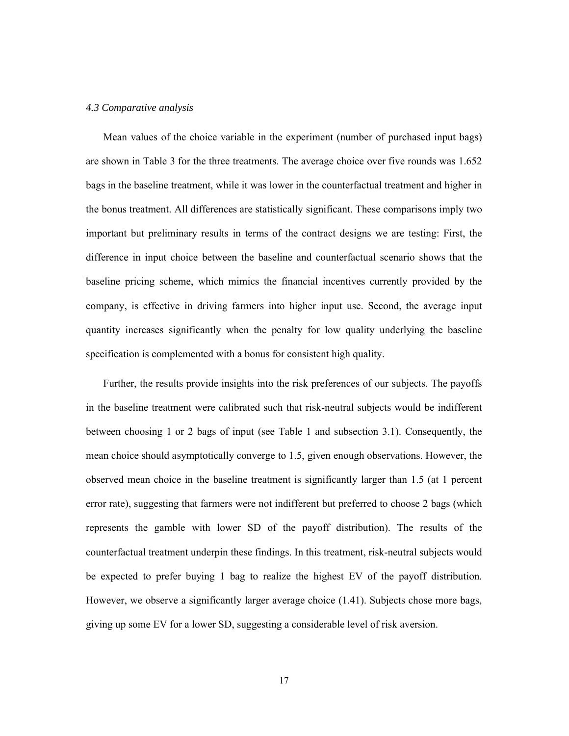#### *4.3 Comparative analysis*

Mean values of the choice variable in the experiment (number of purchased input bags) are shown in Table 3 for the three treatments. The average choice over five rounds was 1.652 bags in the baseline treatment, while it was lower in the counterfactual treatment and higher in the bonus treatment. All differences are statistically significant. These comparisons imply two important but preliminary results in terms of the contract designs we are testing: First, the difference in input choice between the baseline and counterfactual scenario shows that the baseline pricing scheme, which mimics the financial incentives currently provided by the company, is effective in driving farmers into higher input use. Second, the average input quantity increases significantly when the penalty for low quality underlying the baseline specification is complemented with a bonus for consistent high quality.

Further, the results provide insights into the risk preferences of our subjects. The payoffs in the baseline treatment were calibrated such that risk-neutral subjects would be indifferent between choosing 1 or 2 bags of input (see Table 1 and subsection 3.1). Consequently, the mean choice should asymptotically converge to 1.5, given enough observations. However, the observed mean choice in the baseline treatment is significantly larger than 1.5 (at 1 percent error rate), suggesting that farmers were not indifferent but preferred to choose 2 bags (which represents the gamble with lower SD of the payoff distribution). The results of the counterfactual treatment underpin these findings. In this treatment, risk-neutral subjects would be expected to prefer buying 1 bag to realize the highest EV of the payoff distribution. However, we observe a significantly larger average choice (1.41). Subjects chose more bags, giving up some EV for a lower SD, suggesting a considerable level of risk aversion.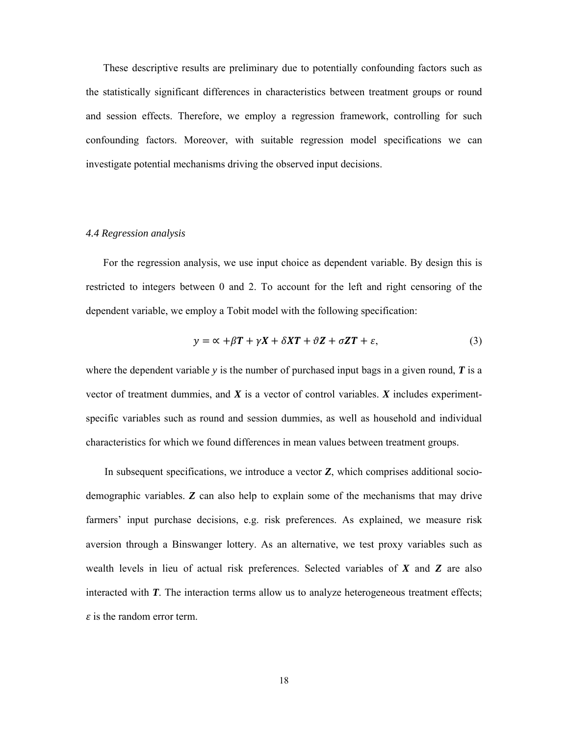These descriptive results are preliminary due to potentially confounding factors such as the statistically significant differences in characteristics between treatment groups or round and session effects. Therefore, we employ a regression framework, controlling for such confounding factors. Moreover, with suitable regression model specifications we can investigate potential mechanisms driving the observed input decisions.

#### *4.4 Regression analysis*

For the regression analysis, we use input choice as dependent variable. By design this is restricted to integers between 0 and 2. To account for the left and right censoring of the dependent variable, we employ a Tobit model with the following specification:

$$
y = \alpha + \beta T + \gamma X + \delta X T + \vartheta Z + \sigma Z T + \varepsilon,\tag{3}
$$

where the dependent variable *y* is the number of purchased input bags in a given round, *T* is a vector of treatment dummies, and *X* is a vector of control variables. *X* includes experimentspecific variables such as round and session dummies, as well as household and individual characteristics for which we found differences in mean values between treatment groups.

In subsequent specifications, we introduce a vector *Z*, which comprises additional sociodemographic variables. *Z* can also help to explain some of the mechanisms that may drive farmers' input purchase decisions, e.g. risk preferences. As explained, we measure risk aversion through a Binswanger lottery. As an alternative, we test proxy variables such as wealth levels in lieu of actual risk preferences. Selected variables of *X* and *Z* are also interacted with *T*. The interaction terms allow us to analyze heterogeneous treatment effects;  $\epsilon$  is the random error term.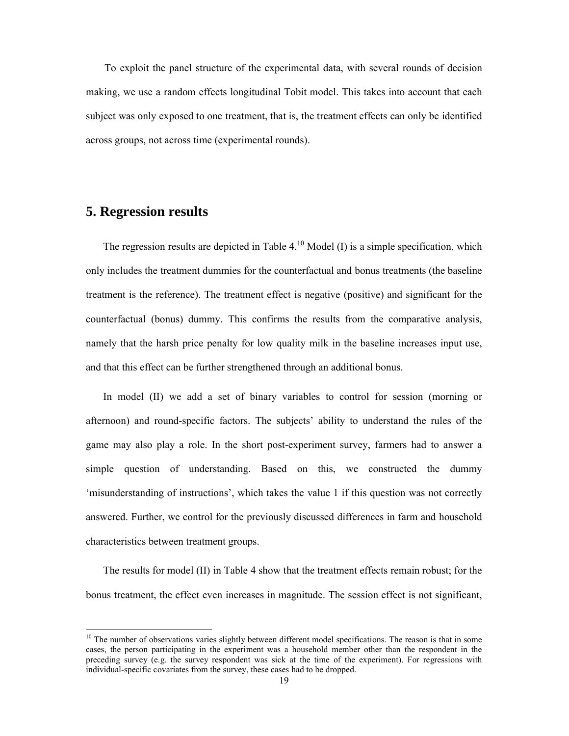To exploit the panel structure of the experimental data, with several rounds of decision making, we use a random effects longitudinal Tobit model. This takes into account that each subject was only exposed to one treatment, that is, the treatment effects can only be identified across groups, not across time (experimental rounds).

### **5. Regression results**

l,

The regression results are depicted in Table  $4<sup>10</sup>$  Model (I) is a simple specification, which only includes the treatment dummies for the counterfactual and bonus treatments (the baseline treatment is the reference). The treatment effect is negative (positive) and significant for the counterfactual (bonus) dummy. This confirms the results from the comparative analysis, namely that the harsh price penalty for low quality milk in the baseline increases input use, and that this effect can be further strengthened through an additional bonus.

In model (II) we add a set of binary variables to control for session (morning or afternoon) and round-specific factors. The subjects' ability to understand the rules of the game may also play a role. In the short post-experiment survey, farmers had to answer a simple question of understanding. Based on this, we constructed the dummy 'misunderstanding of instructions', which takes the value 1 if this question was not correctly answered. Further, we control for the previously discussed differences in farm and household characteristics between treatment groups.

The results for model (II) in Table 4 show that the treatment effects remain robust; for the bonus treatment, the effect even increases in magnitude. The session effect is not significant,

 $10$  The number of observations varies slightly between different model specifications. The reason is that in some cases, the person participating in the experiment was a household member other than the respondent in the preceding survey (e.g. the survey respondent was sick at the time of the experiment). For regressions with individual-specific covariates from the survey, these cases had to be dropped.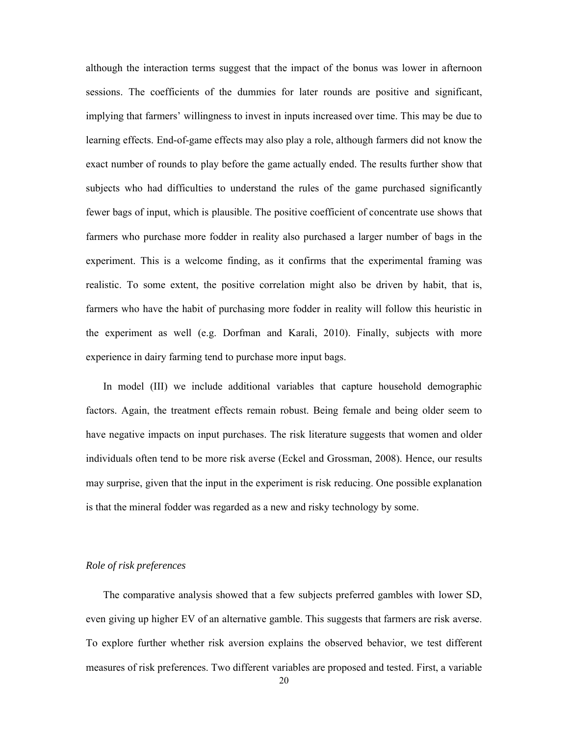although the interaction terms suggest that the impact of the bonus was lower in afternoon sessions. The coefficients of the dummies for later rounds are positive and significant, implying that farmers' willingness to invest in inputs increased over time. This may be due to learning effects. End-of-game effects may also play a role, although farmers did not know the exact number of rounds to play before the game actually ended. The results further show that subjects who had difficulties to understand the rules of the game purchased significantly fewer bags of input, which is plausible. The positive coefficient of concentrate use shows that farmers who purchase more fodder in reality also purchased a larger number of bags in the experiment. This is a welcome finding, as it confirms that the experimental framing was realistic. To some extent, the positive correlation might also be driven by habit, that is, farmers who have the habit of purchasing more fodder in reality will follow this heuristic in the experiment as well (e.g. Dorfman and Karali, 2010). Finally, subjects with more experience in dairy farming tend to purchase more input bags.

In model (III) we include additional variables that capture household demographic factors. Again, the treatment effects remain robust. Being female and being older seem to have negative impacts on input purchases. The risk literature suggests that women and older individuals often tend to be more risk averse (Eckel and Grossman, 2008). Hence, our results may surprise, given that the input in the experiment is risk reducing. One possible explanation is that the mineral fodder was regarded as a new and risky technology by some.

#### *Role of risk preferences*

The comparative analysis showed that a few subjects preferred gambles with lower SD, even giving up higher EV of an alternative gamble. This suggests that farmers are risk averse. To explore further whether risk aversion explains the observed behavior, we test different measures of risk preferences. Two different variables are proposed and tested. First, a variable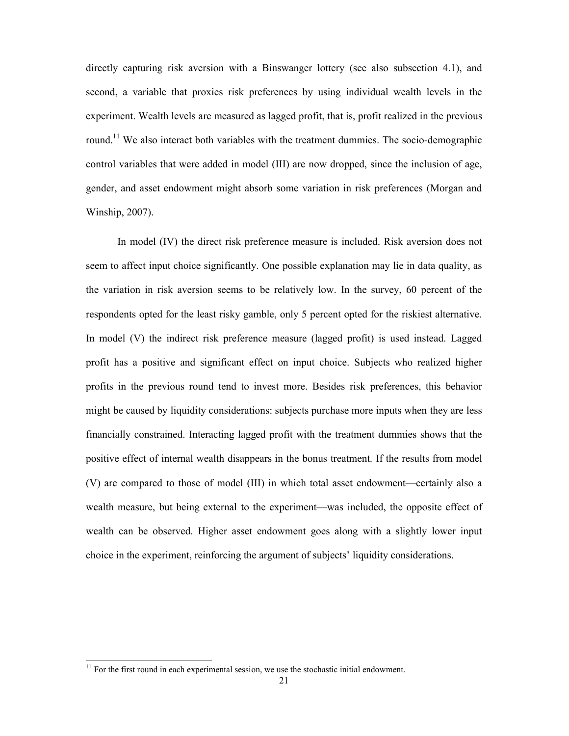directly capturing risk aversion with a Binswanger lottery (see also subsection 4.1), and second, a variable that proxies risk preferences by using individual wealth levels in the experiment. Wealth levels are measured as lagged profit, that is, profit realized in the previous round.<sup>11</sup> We also interact both variables with the treatment dummies. The socio-demographic control variables that were added in model (III) are now dropped, since the inclusion of age, gender, and asset endowment might absorb some variation in risk preferences (Morgan and Winship, 2007).

In model (IV) the direct risk preference measure is included. Risk aversion does not seem to affect input choice significantly. One possible explanation may lie in data quality, as the variation in risk aversion seems to be relatively low. In the survey, 60 percent of the respondents opted for the least risky gamble, only 5 percent opted for the riskiest alternative. In model (V) the indirect risk preference measure (lagged profit) is used instead. Lagged profit has a positive and significant effect on input choice. Subjects who realized higher profits in the previous round tend to invest more. Besides risk preferences, this behavior might be caused by liquidity considerations: subjects purchase more inputs when they are less financially constrained. Interacting lagged profit with the treatment dummies shows that the positive effect of internal wealth disappears in the bonus treatment. If the results from model (V) are compared to those of model (III) in which total asset endowment—certainly also a wealth measure, but being external to the experiment—was included, the opposite effect of wealth can be observed. Higher asset endowment goes along with a slightly lower input choice in the experiment, reinforcing the argument of subjects' liquidity considerations.

 $\overline{a}$ 

<sup>&</sup>lt;sup>11</sup> For the first round in each experimental session, we use the stochastic initial endowment.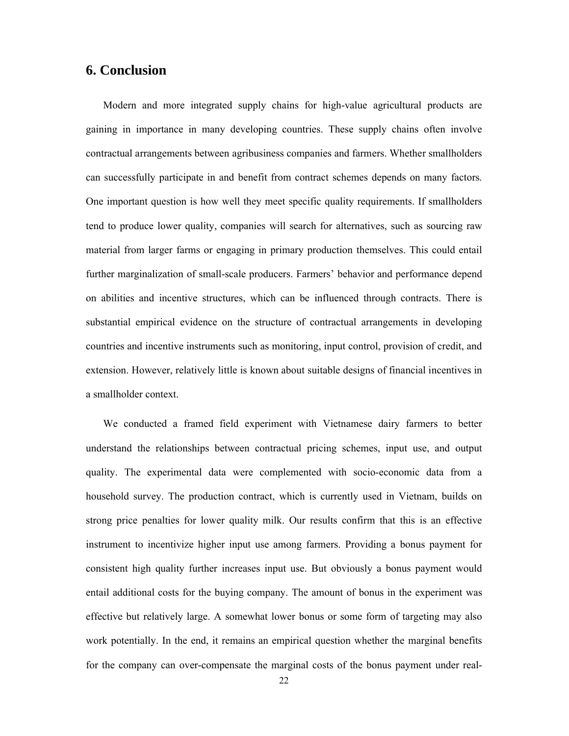### **6. Conclusion**

Modern and more integrated supply chains for high-value agricultural products are gaining in importance in many developing countries. These supply chains often involve contractual arrangements between agribusiness companies and farmers. Whether smallholders can successfully participate in and benefit from contract schemes depends on many factors. One important question is how well they meet specific quality requirements. If smallholders tend to produce lower quality, companies will search for alternatives, such as sourcing raw material from larger farms or engaging in primary production themselves. This could entail further marginalization of small-scale producers. Farmers' behavior and performance depend on abilities and incentive structures, which can be influenced through contracts. There is substantial empirical evidence on the structure of contractual arrangements in developing countries and incentive instruments such as monitoring, input control, provision of credit, and extension. However, relatively little is known about suitable designs of financial incentives in a smallholder context.

We conducted a framed field experiment with Vietnamese dairy farmers to better understand the relationships between contractual pricing schemes, input use, and output quality. The experimental data were complemented with socio-economic data from a household survey. The production contract, which is currently used in Vietnam, builds on strong price penalties for lower quality milk. Our results confirm that this is an effective instrument to incentivize higher input use among farmers. Providing a bonus payment for consistent high quality further increases input use. But obviously a bonus payment would entail additional costs for the buying company. The amount of bonus in the experiment was effective but relatively large. A somewhat lower bonus or some form of targeting may also work potentially. In the end, it remains an empirical question whether the marginal benefits for the company can over-compensate the marginal costs of the bonus payment under real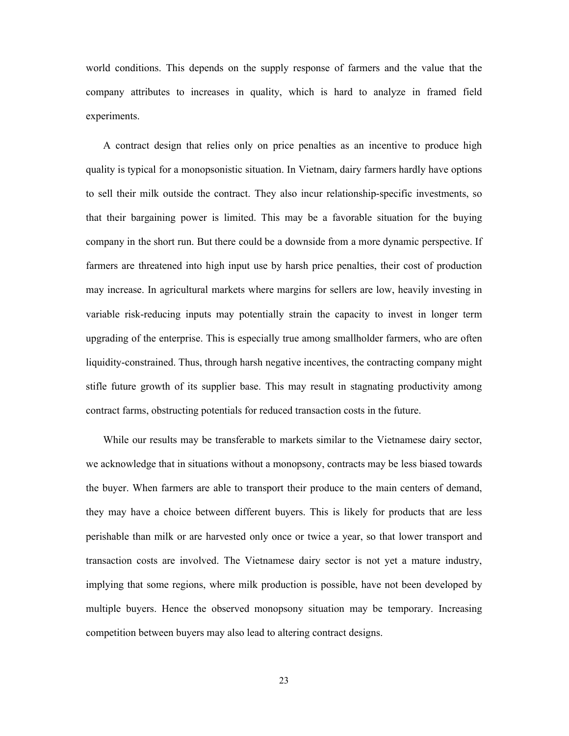world conditions. This depends on the supply response of farmers and the value that the company attributes to increases in quality, which is hard to analyze in framed field experiments.

A contract design that relies only on price penalties as an incentive to produce high quality is typical for a monopsonistic situation. In Vietnam, dairy farmers hardly have options to sell their milk outside the contract. They also incur relationship-specific investments, so that their bargaining power is limited. This may be a favorable situation for the buying company in the short run. But there could be a downside from a more dynamic perspective. If farmers are threatened into high input use by harsh price penalties, their cost of production may increase. In agricultural markets where margins for sellers are low, heavily investing in variable risk-reducing inputs may potentially strain the capacity to invest in longer term upgrading of the enterprise. This is especially true among smallholder farmers, who are often liquidity-constrained. Thus, through harsh negative incentives, the contracting company might stifle future growth of its supplier base. This may result in stagnating productivity among contract farms, obstructing potentials for reduced transaction costs in the future.

While our results may be transferable to markets similar to the Vietnamese dairy sector, we acknowledge that in situations without a monopsony, contracts may be less biased towards the buyer. When farmers are able to transport their produce to the main centers of demand, they may have a choice between different buyers. This is likely for products that are less perishable than milk or are harvested only once or twice a year, so that lower transport and transaction costs are involved. The Vietnamese dairy sector is not yet a mature industry, implying that some regions, where milk production is possible, have not been developed by multiple buyers. Hence the observed monopsony situation may be temporary. Increasing competition between buyers may also lead to altering contract designs.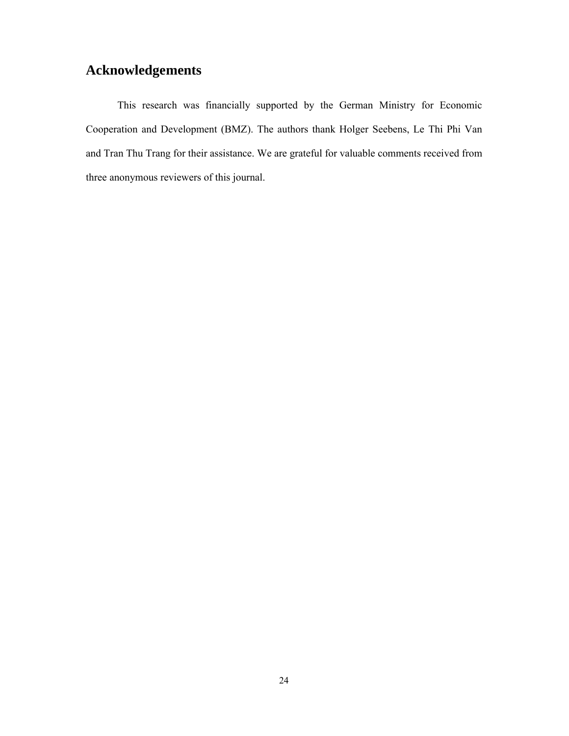## **Acknowledgements**

This research was financially supported by the German Ministry for Economic Cooperation and Development (BMZ). The authors thank Holger Seebens, Le Thi Phi Van and Tran Thu Trang for their assistance. We are grateful for valuable comments received from three anonymous reviewers of this journal.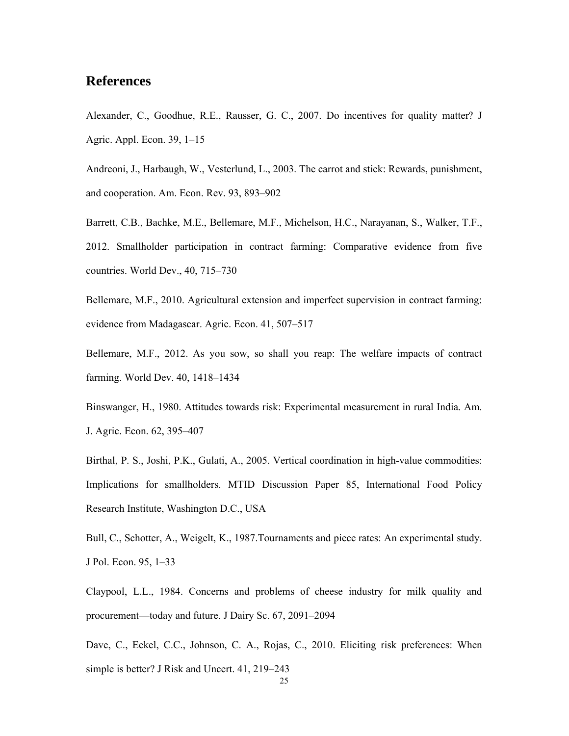### **References**

Alexander, C., Goodhue, R.E., Rausser, G. C., 2007. Do incentives for quality matter? J Agric. Appl. Econ. 39, 1–15

Andreoni, J., Harbaugh, W., Vesterlund, L., 2003. The carrot and stick: Rewards, punishment, and cooperation. Am. Econ. Rev. 93, 893–902

Barrett, C.B., Bachke, M.E., Bellemare, M.F., Michelson, H.C., Narayanan, S., Walker, T.F., 2012. Smallholder participation in contract farming: Comparative evidence from five countries. World Dev., 40, 715–730

Bellemare, M.F., 2010. Agricultural extension and imperfect supervision in contract farming: evidence from Madagascar. Agric. Econ. 41, 507–517

Bellemare, M.F., 2012. As you sow, so shall you reap: The welfare impacts of contract farming. World Dev. 40, 1418–1434

Binswanger, H., 1980. Attitudes towards risk: Experimental measurement in rural India. Am. J. Agric. Econ. 62, 395–407

Birthal, P. S., Joshi, P.K., Gulati, A., 2005. Vertical coordination in high-value commodities: Implications for smallholders. MTID Discussion Paper 85, International Food Policy Research Institute, Washington D.C., USA

Bull, C., Schotter, A., Weigelt, K., 1987.Tournaments and piece rates: An experimental study. J Pol. Econ. 95, 1–33

Claypool, L.L., 1984. Concerns and problems of cheese industry for milk quality and procurement—today and future. J Dairy Sc. 67, 2091–2094

Dave, C., Eckel, C.C., Johnson, C. A., Rojas, C., 2010. Eliciting risk preferences: When simple is better? J Risk and Uncert. 41, 219–243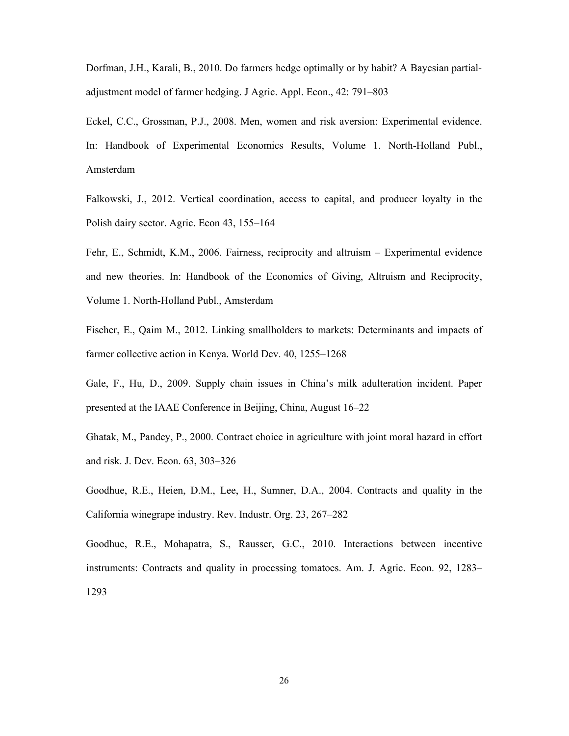Dorfman, J.H., Karali, B., 2010. Do farmers hedge optimally or by habit? A Bayesian partialadjustment model of farmer hedging. J Agric. Appl. Econ., 42: 791–803

Eckel, C.C., Grossman, P.J., 2008. Men, women and risk aversion: Experimental evidence. In: Handbook of Experimental Economics Results, Volume 1. North-Holland Publ., Amsterdam

Falkowski, J., 2012. Vertical coordination, access to capital, and producer loyalty in the Polish dairy sector. Agric. Econ 43, 155–164

Fehr, E., Schmidt, K.M., 2006. Fairness, reciprocity and altruism – Experimental evidence and new theories. In: Handbook of the Economics of Giving, Altruism and Reciprocity, Volume 1. North-Holland Publ., Amsterdam

Fischer, E., Qaim M., 2012. Linking smallholders to markets: Determinants and impacts of farmer collective action in Kenya. World Dev. 40, 1255–1268

Gale, F., Hu, D., 2009. Supply chain issues in China's milk adulteration incident. Paper presented at the IAAE Conference in Beijing, China, August 16–22

Ghatak, M., Pandey, P., 2000. Contract choice in agriculture with joint moral hazard in effort and risk. J. Dev. Econ. 63, 303–326

Goodhue, R.E., Heien, D.M., Lee, H., Sumner, D.A., 2004. Contracts and quality in the California winegrape industry. Rev. Industr. Org. 23, 267–282

Goodhue, R.E., Mohapatra, S., Rausser, G.C., 2010. Interactions between incentive instruments: Contracts and quality in processing tomatoes. Am. J. Agric. Econ. 92, 1283– 1293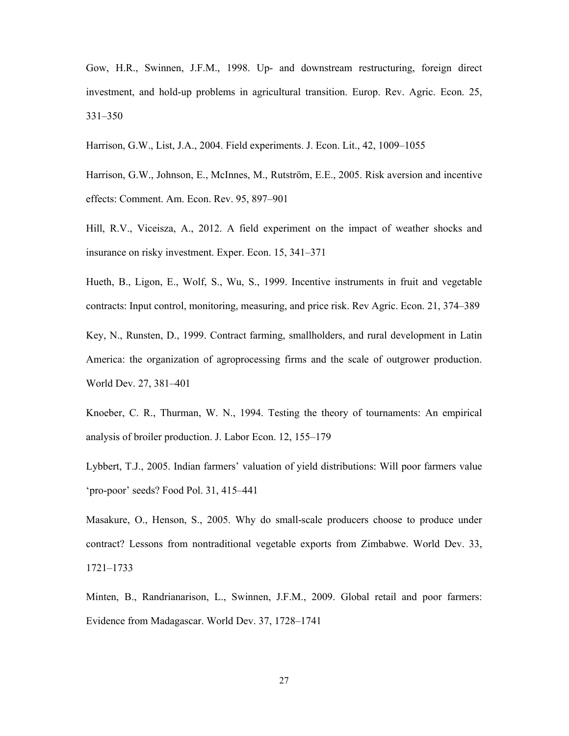Gow, H.R., Swinnen, J.F.M., 1998. Up- and downstream restructuring, foreign direct investment, and hold-up problems in agricultural transition. Europ. Rev. Agric. Econ. 25, 331–350

Harrison, G.W., List, J.A., 2004. Field experiments. J. Econ. Lit., 42, 1009–1055

Harrison, G.W., Johnson, E., McInnes, M., Rutström, E.E., 2005. Risk aversion and incentive effects: Comment. Am. Econ. Rev. 95, 897–901

Hill, R.V., Viceisza, A., 2012. A field experiment on the impact of weather shocks and insurance on risky investment. Exper. Econ. 15, 341–371

Hueth, B., Ligon, E., Wolf, S., Wu, S., 1999. Incentive instruments in fruit and vegetable contracts: Input control, monitoring, measuring, and price risk. Rev Agric. Econ. 21, 374–389

Key, N., Runsten, D., 1999. Contract farming, smallholders, and rural development in Latin America: the organization of agroprocessing firms and the scale of outgrower production. World Dev. 27, 381–401

Knoeber, C. R., Thurman, W. N., 1994. Testing the theory of tournaments: An empirical analysis of broiler production. J. Labor Econ. 12, 155–179

Lybbert, T.J., 2005. Indian farmers' valuation of yield distributions: Will poor farmers value 'pro-poor' seeds? Food Pol. 31, 415–441

Masakure, O., Henson, S., 2005. Why do small-scale producers choose to produce under contract? Lessons from nontraditional vegetable exports from Zimbabwe. World Dev. 33, 1721–1733

Minten, B., Randrianarison, L., Swinnen, J.F.M., 2009. Global retail and poor farmers: Evidence from Madagascar. World Dev. 37, 1728–1741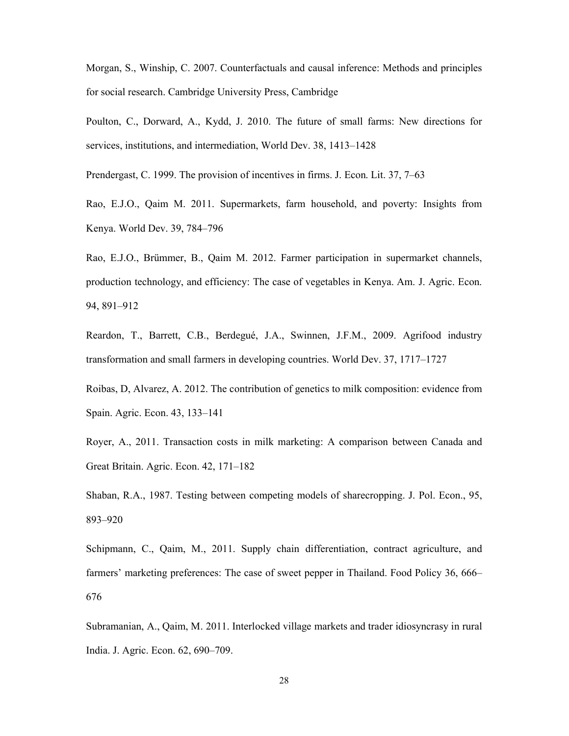Morgan, S., Winship, C. 2007. Counterfactuals and causal inference: Methods and principles for social research. Cambridge University Press, Cambridge

Poulton, C., Dorward, A., Kydd, J. 2010. The future of small farms: New directions for services, institutions, and intermediation, World Dev. 38, 1413–1428

Prendergast, C. 1999. The provision of incentives in firms. J. Econ. Lit. 37, 7–63

Rao, E.J.O., Qaim M. 2011. Supermarkets, farm household, and poverty: Insights from Kenya. World Dev. 39, 784–796

Rao, E.J.O., Brümmer, B., Qaim M. 2012. Farmer participation in supermarket channels, production technology, and efficiency: The case of vegetables in Kenya. Am. J. Agric. Econ. 94, 891–912

Reardon, T., Barrett, C.B., Berdegué, J.A., Swinnen, J.F.M., 2009. Agrifood industry transformation and small farmers in developing countries. World Dev. 37, 1717–1727

Roibas, D, Alvarez, A. 2012. The contribution of genetics to milk composition: evidence from Spain. Agric. Econ. 43, 133–141

Royer, A., 2011. Transaction costs in milk marketing: A comparison between Canada and Great Britain. Agric. Econ. 42, 171–182

Shaban, R.A., 1987. Testing between competing models of sharecropping. J. Pol. Econ., 95, 893–920

Schipmann, C., Qaim, M., 2011. Supply chain differentiation, contract agriculture, and farmers' marketing preferences: The case of sweet pepper in Thailand. Food Policy 36, 666– 676

Subramanian, A., Qaim, M. 2011. Interlocked village markets and trader idiosyncrasy in rural India. J. Agric. Econ. 62, 690–709.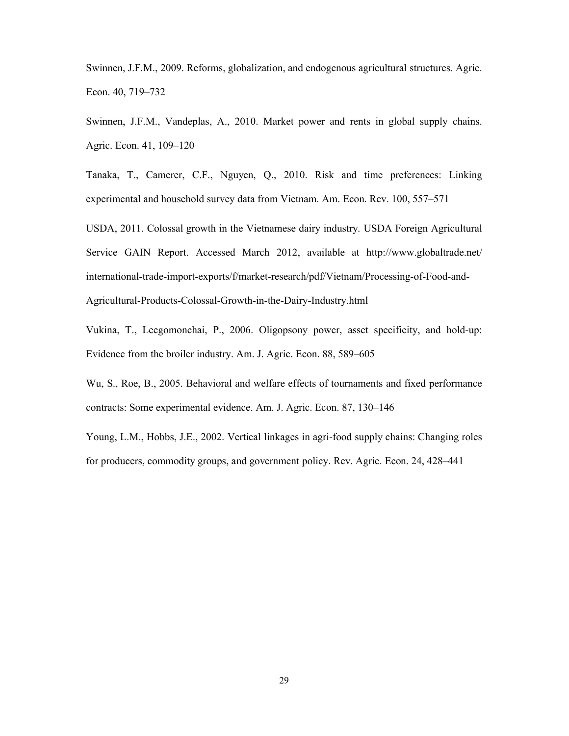Swinnen, J.F.M., 2009. Reforms, globalization, and endogenous agricultural structures. Agric. Econ. 40, 719–732

Swinnen, J.F.M., Vandeplas, A., 2010. Market power and rents in global supply chains. Agric. Econ. 41, 109–120

Tanaka, T., Camerer, C.F., Nguyen, Q., 2010. Risk and time preferences: Linking experimental and household survey data from Vietnam. Am. Econ. Rev. 100, 557–571

USDA, 2011. Colossal growth in the Vietnamese dairy industry. USDA Foreign Agricultural Service GAIN Report. Accessed March 2012, available at http://www.globaltrade.net/ international-trade-import-exports/f/market-research/pdf/Vietnam/Processing-of-Food-and-Agricultural-Products-Colossal-Growth-in-the-Dairy-Industry.html

Vukina, T., Leegomonchai, P., 2006. Oligopsony power, asset specificity, and hold-up: Evidence from the broiler industry. Am. J. Agric. Econ. 88, 589–605

Wu, S., Roe, B., 2005. Behavioral and welfare effects of tournaments and fixed performance contracts: Some experimental evidence. Am. J. Agric. Econ. 87, 130–146

Young, L.M., Hobbs, J.E., 2002. Vertical linkages in agri-food supply chains: Changing roles for producers, commodity groups, and government policy. Rev. Agric. Econ. 24, 428–441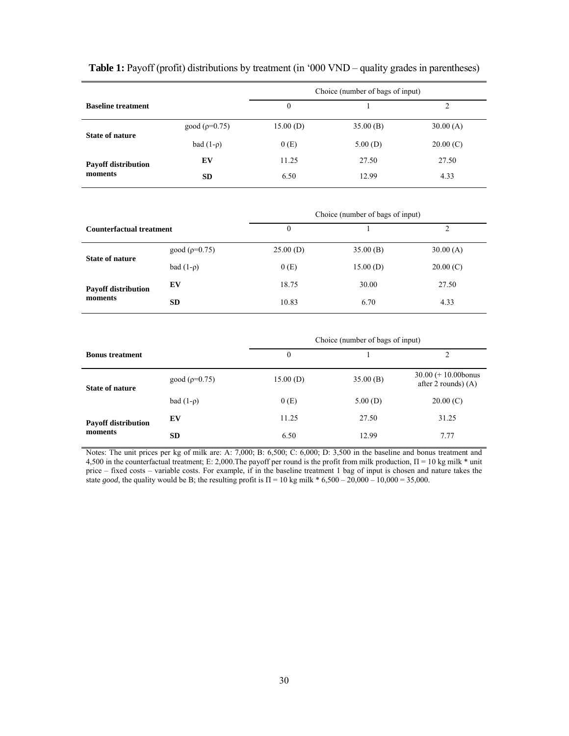|                                       |                 | Choice (number of bags of input) |          |               |  |  |  |  |
|---------------------------------------|-----------------|----------------------------------|----------|---------------|--|--|--|--|
| <b>Baseline treatment</b>             |                 | $\boldsymbol{0}$                 |          | $\mathcal{D}$ |  |  |  |  |
|                                       | $good (p=0.75)$ | 15.00(D)                         | 35.00(B) | 30.00(A)      |  |  |  |  |
| State of nature                       | bad $(1-\rho)$  | 0(E)                             | 5.00(D)  | 20.00(C)      |  |  |  |  |
| <b>Payoff distribution</b><br>moments | EV              | 11.25                            | 27.50    | 27.50         |  |  |  |  |
|                                       | <b>SD</b>       | 6.50                             | 12.99    | 4.33          |  |  |  |  |

**Table 1:** Payoff (profit) distributions by treatment (in '000 VND – quality grades in parentheses)

|                                       |                      | Choice (number of bags of input) |          |                    |  |  |  |
|---------------------------------------|----------------------|----------------------------------|----------|--------------------|--|--|--|
| <b>Counterfactual treatment</b>       |                      | $\overline{0}$                   |          | $\mathfrak{D}_{1}$ |  |  |  |
| <b>State of nature</b>                | good $(\rho = 0.75)$ | 25.00(D)                         | 35.00(B) | 30.00(A)           |  |  |  |
|                                       | bad $(1-\rho)$       | 0(E)                             | 15.00(D) | 20.00(C)           |  |  |  |
| <b>Payoff distribution</b><br>moments | EV                   | 18.75                            | 30.00    | 27.50              |  |  |  |
|                                       | <b>SD</b>            | 10.83                            | 6.70     | 4.33               |  |  |  |

|                                       |                      | Choice (number of bags of input) |          |                                                 |  |  |  |  |
|---------------------------------------|----------------------|----------------------------------|----------|-------------------------------------------------|--|--|--|--|
| <b>Bonus</b> treatment                |                      | 0                                |          | $\mathfrak{D}$                                  |  |  |  |  |
| <b>State of nature</b>                | good $(\rho = 0.75)$ | 15.00(D)                         | 35.00(B) | $30.00 (+ 10.00$ bonus<br>after 2 rounds) $(A)$ |  |  |  |  |
|                                       | bad $(1-\rho)$       | 0(E)                             | 5.00(D)  | 20.00(C)                                        |  |  |  |  |
| <b>Payoff distribution</b><br>moments | EV                   | 11.25                            | 27.50    | 31.25                                           |  |  |  |  |
|                                       | <b>SD</b>            | 6.50                             | 12.99    | 7.77                                            |  |  |  |  |

Notes: The unit prices per kg of milk are: A: 7,000; B: 6,500; C: 6,000; D: 3,500 in the baseline and bonus treatment and 4,500 in the counterfactual treatment; E: 2,000. The payoff per round is the profit from milk production,  $\Pi = 10$  kg milk \* unit price – fixed costs – variable costs. For example, if in the baseline treatment 1 bag of input is chosen and nature takes the state *good*, the quality would be B; the resulting profit is  $\Pi = 10$  kg milk \* 6,500 – 20,000 – 10,000 = 35,000.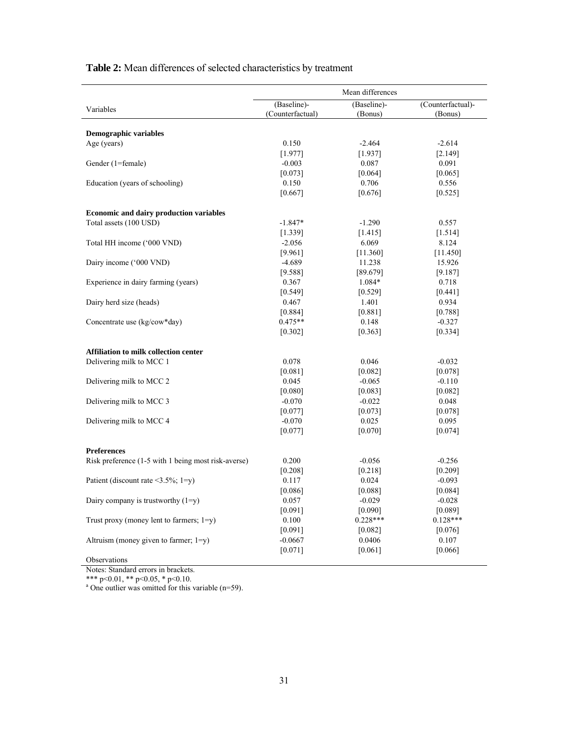### **Table 2:** Mean differences of selected characteristics by treatment

|                                                     | Mean differences |             |                   |  |  |  |  |  |
|-----------------------------------------------------|------------------|-------------|-------------------|--|--|--|--|--|
| Variables                                           | (Baseline)-      | (Baseline)- | (Counterfactual)- |  |  |  |  |  |
|                                                     | (Counterfactual) | (Bonus)     | (Bonus)           |  |  |  |  |  |
| <b>Demographic variables</b>                        |                  |             |                   |  |  |  |  |  |
| Age (years)                                         | 0.150            | $-2.464$    | $-2.614$          |  |  |  |  |  |
|                                                     | [1.977]          | [1.937]     | $[2.149]$         |  |  |  |  |  |
| Gender (1=female)                                   | $-0.003$         | 0.087       | 0.091             |  |  |  |  |  |
|                                                     | [0.073]          | [0.064]     | [0.065]           |  |  |  |  |  |
| Education (years of schooling)                      | 0.150            | 0.706       | 0.556             |  |  |  |  |  |
|                                                     |                  |             |                   |  |  |  |  |  |
|                                                     | [0.667]          | [0.676]     | [0.525]           |  |  |  |  |  |
| <b>Economic and dairy production variables</b>      |                  |             |                   |  |  |  |  |  |
| Total assets (100 USD)                              | $-1.847*$        | $-1.290$    | 0.557             |  |  |  |  |  |
|                                                     | [1.339]          | [1.415]     | [1.514]           |  |  |  |  |  |
| Total HH income ('000 VND)                          | $-2.056$         | 6.069       | 8.124             |  |  |  |  |  |
|                                                     | [9.961]          | [11.360]    | [11.450]          |  |  |  |  |  |
| Dairy income ('000 VND)                             | $-4.689$         | 11.238      | 15.926            |  |  |  |  |  |
|                                                     | [9.588]          | [89.679]    | [9.187]           |  |  |  |  |  |
| Experience in dairy farming (years)                 | 0.367            | 1.084*      | 0.718             |  |  |  |  |  |
|                                                     | [0.549]          | [0.529]     | [0.441]           |  |  |  |  |  |
| Dairy herd size (heads)                             | 0.467            | 1.401       | 0.934             |  |  |  |  |  |
|                                                     | [0.884]          | [0.881]     | [0.788]           |  |  |  |  |  |
| Concentrate use (kg/cow*day)                        | $0.475**$        | 0.148       | $-0.327$          |  |  |  |  |  |
|                                                     | [0.302]          | [0.363]     | [0.334]           |  |  |  |  |  |
|                                                     |                  |             |                   |  |  |  |  |  |
| <b>Affiliation to milk collection center</b>        |                  |             |                   |  |  |  |  |  |
| Delivering milk to MCC 1                            | 0.078            | 0.046       | $-0.032$          |  |  |  |  |  |
|                                                     | [0.081]          | [0.082]     | [0.078]           |  |  |  |  |  |
| Delivering milk to MCC 2                            | 0.045            | $-0.065$    | $-0.110$          |  |  |  |  |  |
|                                                     | [0.080]          | [0.083]     | [0.082]           |  |  |  |  |  |
| Delivering milk to MCC 3                            | $-0.070$         | $-0.022$    | 0.048             |  |  |  |  |  |
|                                                     | [0.077]          | [0.073]     | [0.078]           |  |  |  |  |  |
| Delivering milk to MCC 4                            | $-0.070$         | 0.025       | 0.095             |  |  |  |  |  |
|                                                     | [0.077]          | $[0.070]$   | [0.074]           |  |  |  |  |  |
|                                                     |                  |             |                   |  |  |  |  |  |
| <b>Preferences</b>                                  |                  |             |                   |  |  |  |  |  |
| Risk preference (1-5 with 1 being most risk-averse) | 0.200            | $-0.056$    | $-0.256$          |  |  |  |  |  |
|                                                     | [0.208]          | [0.218]     | [0.209]           |  |  |  |  |  |
| Patient (discount rate $\leq$ 3.5%; 1=y)            | 0.117            | 0.024       | $-0.093$          |  |  |  |  |  |
|                                                     | [0.086]          | [0.088]     | [0.084]           |  |  |  |  |  |
| Dairy company is trustworthy $(1=y)$                | 0.057            | $-0.029$    | $-0.028$          |  |  |  |  |  |
|                                                     | $[0.091]$        | [0.090]     | [0.089]           |  |  |  |  |  |
| Trust proxy (money lent to farmers; $1=y$ )         | 0.100            | $0.228***$  | $0.128***$        |  |  |  |  |  |
|                                                     | [0.091]          | [0.082]     | [0.076]           |  |  |  |  |  |
| Altruism (money given to farmer; $1=y$ )            | $-0.0667$        | 0.0406      | 0.107             |  |  |  |  |  |
|                                                     | [0.071]          | [0.061]     | [0.066]           |  |  |  |  |  |
| Observations                                        |                  |             |                   |  |  |  |  |  |

Notes: Standard errors in brackets.

\*\*\* p<0.01, \*\* p<0.05, \* p<0.10.

 $a^a$  One outlier was omitted for this variable (n=59).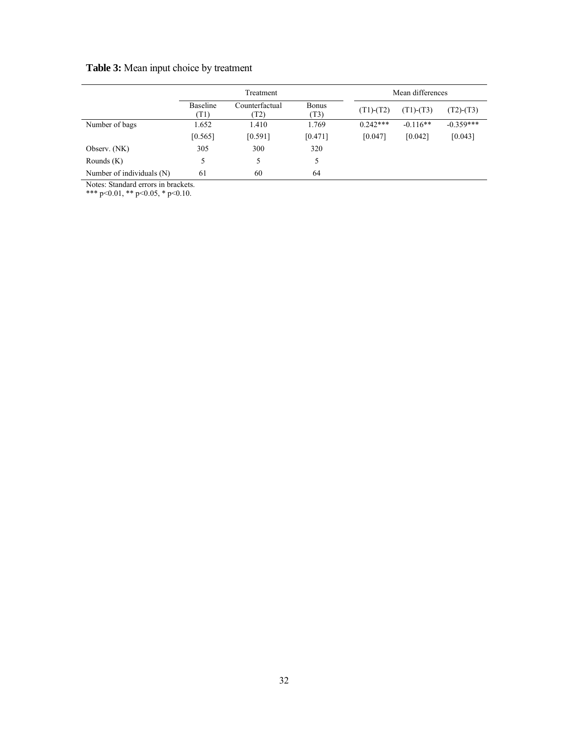### **Table 3:** Mean input choice by treatment

|                           |                                           | Treatment |                     | Mean differences |             |             |  |  |
|---------------------------|-------------------------------------------|-----------|---------------------|------------------|-------------|-------------|--|--|
|                           | Baseline<br>Counterfactual<br>(T1)<br>T2) |           | <b>Bonus</b><br>T3) | $(T1)-(T2)$      | $(T1)-(T3)$ | $(T2)-(T3)$ |  |  |
| Number of bags            | 1.652                                     | 1.410     | 1.769               | $0.242***$       | $-0.116**$  | $-0.359***$ |  |  |
|                           | [0.565]                                   | [0.591]   | [0.471]             | [0.047]          | [0.042]     | [0.043]     |  |  |
| Observ. (NK)              | 305                                       | 300       | 320                 |                  |             |             |  |  |
| Rounds $(K)$              | 5                                         | 5         |                     |                  |             |             |  |  |
| Number of individuals (N) | 61                                        | 60        | 64                  |                  |             |             |  |  |

Notes: Standard errors in brackets.

\*\*\* p<0.01, \*\* p<0.05, \* p<0.10.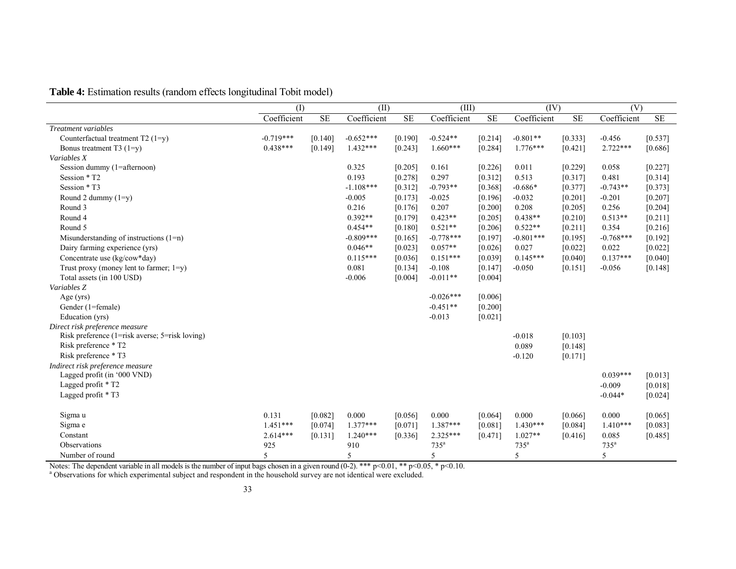|  |  |  | <b>Table 4:</b> Estimation results (random effects longitudinal Tobit model) |
|--|--|--|------------------------------------------------------------------------------|
|  |  |  |                                                                              |

|                                                | (1)         |           |             | $\overline{(\text{II})}$ |             | $\overline{\text{(III)}}$ |             | $\overline{(\rm{IV})}$ |             | $\overline{(V)}$ |  |
|------------------------------------------------|-------------|-----------|-------------|--------------------------|-------------|---------------------------|-------------|------------------------|-------------|------------------|--|
|                                                | Coefficient | <b>SE</b> | Coefficient | <b>SE</b>                | Coefficient | SE                        | Coefficient | SE                     | Coefficient | SE               |  |
| Treatment variables                            |             |           |             |                          |             |                           |             |                        |             |                  |  |
| Counterfactual treatment T2 (1=y)              | $-0.719***$ | [0.140]   | $-0.652***$ | [0.190]                  | $-0.524**$  | $[0.214]$                 | $-0.801**$  | [0.333]                | $-0.456$    | [0.537]          |  |
| Bonus treatment T3 $(1=y)$                     | $0.438***$  | [0.149]   | $1.432***$  | [0.243]                  | $1.660***$  | [0.284]                   | $1.776***$  | [0.421]                | $2.722***$  | [0.686]          |  |
| Variables X                                    |             |           |             |                          |             |                           |             |                        |             |                  |  |
| Session dummy (1=afternoon)                    |             |           | 0.325       | [0.205]                  | 0.161       | $[0.226]$                 | 0.011       | $[0.229]$              | 0.058       | [0.227]          |  |
| Session * T2                                   |             |           | 0.193       | [0.278]                  | 0.297       | [0.312]                   | 0.513       | [0.317]                | 0.481       | [0.314]          |  |
| Session * T3                                   |             |           | $-1.108***$ | [0.312]                  | $-0.793**$  | [0.368]                   | $-0.686*$   | $[0.377]$              | $-0.743**$  | $[0.373]$        |  |
| Round 2 dummy $(1=y)$                          |             |           | $-0.005$    | [0.173]                  | $-0.025$    | [0.196]                   | $-0.032$    | [0.201]                | $-0.201$    | [0.207]          |  |
| Round 3                                        |             |           | 0.216       | [0.176]                  | 0.207       | [0.200]                   | 0.208       | [0.205]                | 0.256       | [0.204]          |  |
| Round 4                                        |             |           | $0.392**$   | [0.179]                  | $0.423**$   | [0.205]                   | $0.438**$   | [0.210]                | $0.513**$   | $[0.211]$        |  |
| Round 5                                        |             |           | $0.454**$   | [0.180]                  | $0.521**$   | [0.206]                   | $0.522**$   | [0.211]                | 0.354       | $[0.216]$        |  |
| Misunderstanding of instructions $(1=n)$       |             |           | $-0.809***$ | [0.165]                  | $-0.778***$ | [0.197]                   | $-0.801***$ | [0.195]                | $-0.768***$ | [0.192]          |  |
| Dairy farming experience (yrs)                 |             |           | $0.046**$   | [0.023]                  | $0.057**$   | [0.026]                   | 0.027       | [0.022]                | 0.022       | [0.022]          |  |
| Concentrate use (kg/cow*day)                   |             |           | $0.115***$  | [0.036]                  | $0.151***$  | [0.039]                   | $0.145***$  | [0.040]                | $0.137***$  | [0.040]          |  |
| Trust proxy (money lent to farmer; $1=y$ )     |             |           | 0.081       | [0.134]                  | $-0.108$    | [0.147]                   | $-0.050$    | [0.151]                | $-0.056$    | $[0.148]$        |  |
| Total assets (in 100 USD)                      |             |           | $-0.006$    | [0.004]                  | $-0.011**$  | $[0.004]$                 |             |                        |             |                  |  |
| Variables Z                                    |             |           |             |                          |             |                           |             |                        |             |                  |  |
| Age $(yrs)$                                    |             |           |             |                          | $-0.026***$ | [0.006]                   |             |                        |             |                  |  |
| Gender (1=female)                              |             |           |             |                          | $-0.451**$  | [0.200]                   |             |                        |             |                  |  |
| Education (yrs)                                |             |           |             |                          | $-0.013$    | $[0.021]$                 |             |                        |             |                  |  |
| Direct risk preference measure                 |             |           |             |                          |             |                           |             |                        |             |                  |  |
| Risk preference (1=risk averse; 5=risk loving) |             |           |             |                          |             |                           | $-0.018$    | [0.103]                |             |                  |  |
| Risk preference * T2                           |             |           |             |                          |             |                           | 0.089       | [0.148]                |             |                  |  |
| Risk preference * T3                           |             |           |             |                          |             |                           | $-0.120$    | [0.171]                |             |                  |  |
| Indirect risk preference measure               |             |           |             |                          |             |                           |             |                        |             |                  |  |
| Lagged profit (in '000 VND)                    |             |           |             |                          |             |                           |             |                        | $0.039***$  | [0.013]          |  |
| Lagged profit * T2                             |             |           |             |                          |             |                           |             |                        | $-0.009$    | [0.018]          |  |
| Lagged profit * T3                             |             |           |             |                          |             |                           |             |                        | $-0.044*$   | [0.024]          |  |
| Sigma u                                        | 0.131       | $[0.082]$ | 0.000       | [0.056]                  | 0.000       | [0.064]                   | 0.000       | [0.066]                | 0.000       | [0.065]          |  |
| Sigma e                                        | $1.451***$  | [0.074]   | $1.377***$  | [0.071]                  | $1.387***$  | [0.081]                   | $1.430***$  | [0.084]                | $1.410***$  | [0.083]          |  |
| Constant                                       | $2.614***$  | [0.131]   | $1.240***$  | [0.336]                  | $2.325***$  | [0.471]                   | $1.027**$   | [0.416]                | 0.085       | [0.485]          |  |
| Observations                                   | 925         |           | 910         |                          | $735^a$     |                           | $735^a$     |                        | $735^a$     |                  |  |
| Number of round                                | 5           |           | 5           |                          | 5           |                           | 5           |                        | 5           |                  |  |

Notes: The dependent variable in all models is the number of input bags chosen in a given round  $(0-2)$ . \*\*\*  $p<0.01$ , \*\*  $p<0.05$ , \*  $p<0.10$ .

<sup>a</sup> Observations for which experimental subject and respondent in the household survey are not identical were excluded.